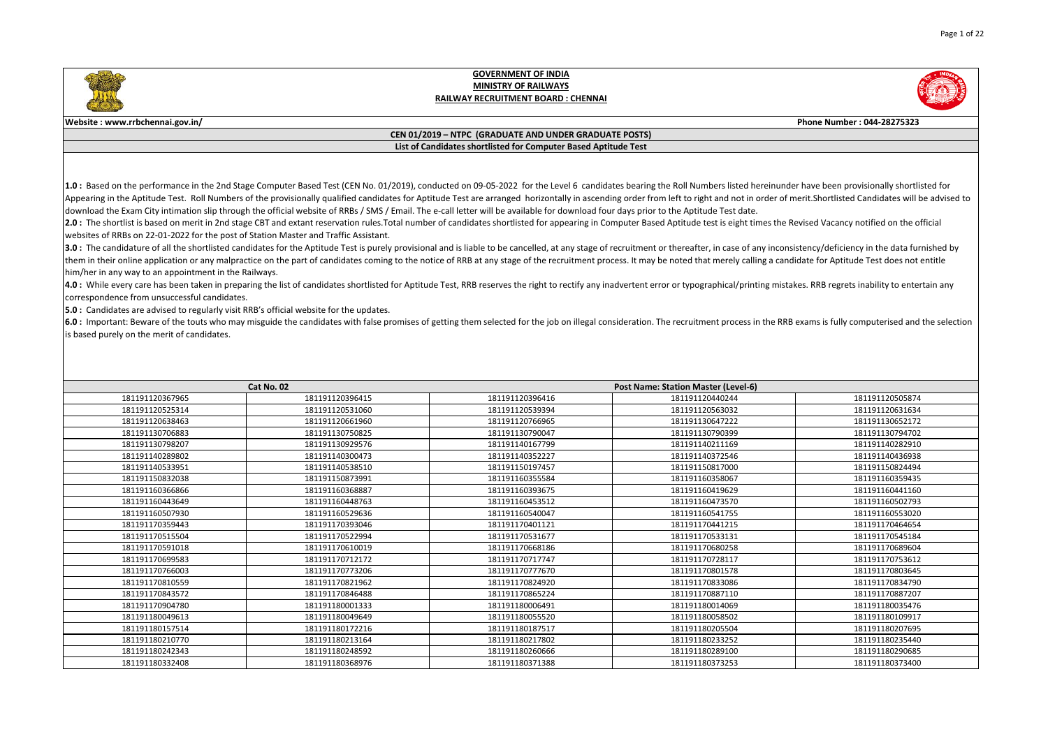



**Website : www.rrbchennai.gov.in/ Phone Number : 044-28275323**

## **CEN 01/2019 – NTPC (GRADUATE AND UNDER GRADUATE POSTS) List of Candidates shortlisted for Computer Based Aptitude Test**

1.0: Based on the performance in the 2nd Stage Computer Based Test (CEN No. 01/2019), conducted on 09-05-2022 for the Level 6 candidates bearing the Roll Numbers listed hereinunder have been provisionally shortlisted for Appearing in the Aptitude Test. Roll Numbers of the provisionally qualified candidates for Aptitude Test are arranged horizontally in ascending order from left to right and not in order of merit. Shortlisted Candidates wil download the Exam City intimation slip through the official website of RRBs / SMS / Email. The e-call letter will be available for download four days prior to the Aptitude Test date.

2.0 : The shortlist is based on merit in 2nd stage CBT and extant reservation rules. Total number of candidates shortlisted for appearing in Computer Based Aptitude test is eight times the Revised Vacancy notified on the o websites of RRBs on 22-01-2022 for the post of Station Master and Traffic Assistant.

3.0 : The candidature of all the shortlisted candidates for the Aptitude Test is purely provisional and is liable to be cancelled, at any stage of recruitment or thereafter, in case of any inconsistency/deficiency in the d them in their online application or any malpractice on the part of candidates coming to the notice of RRB at any stage of the recruitment process. It may be noted that merely calling a candidate for Aptitude Test does not him/her in any way to an appointment in the Railways.

4.0: While every care has been taken in preparing the list of candidates shortlisted for Aptitude Test, RRB reserves the right to rectify any inadvertent error or typographical/printing mistakes. RRB regrets inability to e correspondence from unsuccessful candidates.

**5.0 :** Candidates are advised to regularly visit RRB's official website for the updates.

6.0 : Important: Beware of the touts who may misguide the candidates with false promises of getting them selected for the job on illegal consideration. The recruitment process in the RRB exams is fully computerised and the is based purely on the merit of candidates.

|                 | Cat No. 02      |                 | Post Name: Station Master (Level-6) |                 |
|-----------------|-----------------|-----------------|-------------------------------------|-----------------|
| 181191120367965 | 181191120396415 | 181191120396416 | 181191120440244                     | 181191120505874 |
| 181191120525314 | 181191120531060 | 181191120539394 | 181191120563032                     | 181191120631634 |
| 181191120638463 | 181191120661960 | 181191120766965 | 181191130647222                     | 181191130652172 |
| 181191130706883 | 181191130750825 | 181191130790047 | 181191130790399                     | 181191130794702 |
| 181191130798207 | 181191130929576 | 181191140167799 | 181191140211169                     | 181191140282910 |
| 181191140289802 | 181191140300473 | 181191140352227 | 181191140372546                     | 181191140436938 |
| 181191140533951 | 181191140538510 | 181191150197457 | 181191150817000                     | 181191150824494 |
| 181191150832038 | 181191150873991 | 181191160355584 | 181191160358067                     | 181191160359435 |
| 181191160366866 | 181191160368887 | 181191160393675 | 181191160419629                     | 181191160441160 |
| 181191160443649 | 181191160448763 | 181191160453512 | 181191160473570                     | 181191160502793 |
| 181191160507930 | 181191160529636 | 181191160540047 | 181191160541755                     | 181191160553020 |
| 181191170359443 | 181191170393046 | 181191170401121 | 181191170441215                     | 181191170464654 |
| 181191170515504 | 181191170522994 | 181191170531677 | 181191170533131                     | 181191170545184 |
| 181191170591018 | 181191170610019 | 181191170668186 | 181191170680258                     | 181191170689604 |
| 181191170699583 | 181191170712172 | 181191170717747 | 181191170728117                     | 181191170753612 |
| 181191170766003 | 181191170773206 | 181191170777670 | 181191170801578                     | 181191170803645 |
| 181191170810559 | 181191170821962 | 181191170824920 | 181191170833086                     | 181191170834790 |
| 181191170843572 | 181191170846488 | 181191170865224 | 181191170887110                     | 181191170887207 |
| 181191170904780 | 181191180001333 | 181191180006491 | 181191180014069                     | 181191180035476 |
| 181191180049613 | 181191180049649 | 181191180055520 | 181191180058502                     | 181191180109917 |
| 181191180157514 | 181191180172216 | 181191180187517 | 181191180205504                     | 181191180207695 |
| 181191180210770 | 181191180213164 | 181191180217802 | 181191180233252                     | 181191180235440 |
| 181191180242343 | 181191180248592 | 181191180260666 | 181191180289100                     | 181191180290685 |
| 181191180332408 | 181191180368976 | 181191180371388 | 181191180373253                     | 181191180373400 |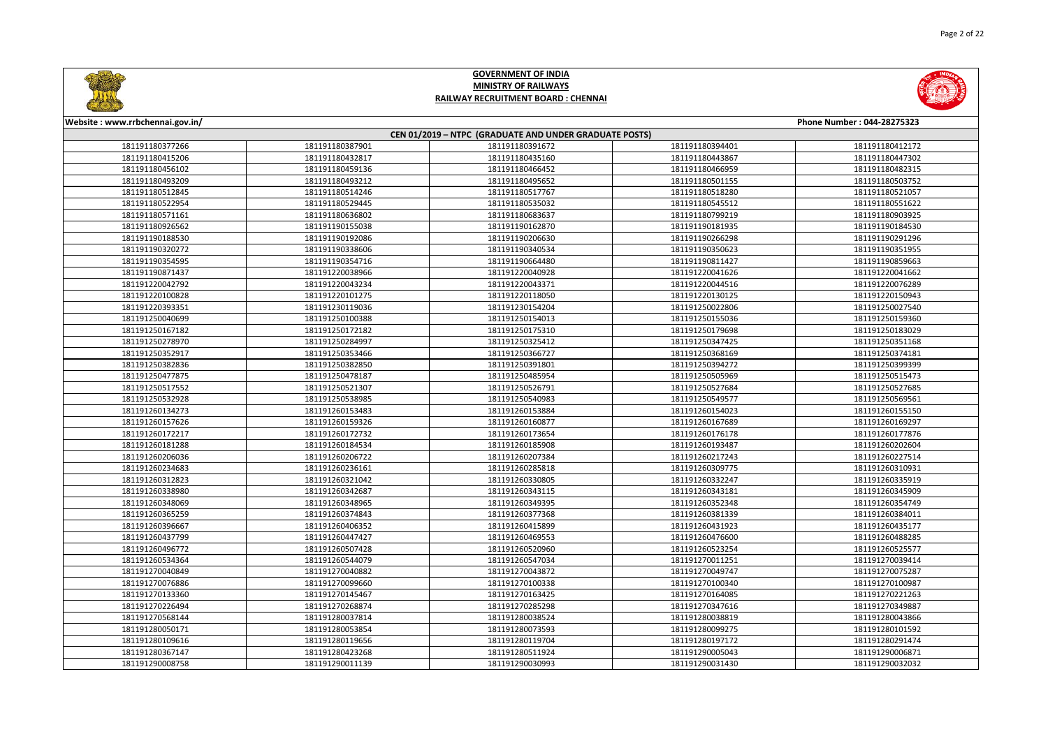



## **Website : www.rrbchennai.gov.in/ Phone Number : 044-28275323 CEN 01/2019 – NTPC (GRADUATE AND UNDER GRADUATE POSTS)** 181191180387901 181191180391672 181191180394401 181191180412172 181191180432817 181191180435160 181191180443867 181191180447302 181191180459136 181191180466452 181191180466959 181191180482315 181191180493212 181191180495652 181191180501155 181191180503752 181191180514246 181191180517767 181191180518280 181191180521057 181191180529445 181191180535032 181191180545512 181191180551622 181191180636802 181191180683637 181191180799219 181191180903925 181191180926562 | 181191190155038 | 181191190162870 | 181191190181935 | 181191190184530 181191190192086 181191190206630 181191190266298 181191190291296 181191190338606 181191190340534 181191190350623 181191190351955 181191190354716 181191190664480 181191190811427 181191190859663 181191220038966 181191220040928 181191220041626 181191220041662 181191220043234 181191220043371 181191220044516 181191220076289 181191220101275 181191220118050 181191220130125 181191220150943 181191220393351 | 181191230119036 | 181191230154204 | 181191230154204 | 181191250022806 | 181191250027540 181191250100388 181191250154013 181191250155036 181191250159360 181191250172182 181191250175310 181191250179698 181191250183029 181191250284997 181191250325412 181191250347425 181191250351168 181191250353466 181191250366727 181191250368169 181191250374181 181191250382850 181191250391801 181191250394272 181191250399399 181191250478187 181191250485954 181191250505969 181191250515473 181191250521307 181191250526791 181191250527684 181191250527685 181191250538985 181191250540983 181191250549577 181191250569561 181191260153483 181191260153884 181191260154023 181191260155150 181191260159326 181191260160877 181191260167689 181191260169297 181191260172732 181191260173654 181191260176178 181191260177876 181191260184534 181191260185908 181191260193487 181191260202604 181191260206722 181191260207384 181191260217243 181191260227514 181191260236161 181191260285818 181191260309775 181191260310931 181191260321042 181191260330805 181191260332247 181191260335919 181191260342687 181191260343115 181191260343181 181191260345909 181191260348965 181191260349395 181191260352348 181191260354749 181191260374843 181191260377368 181191260381339 181191260384011 181191260406352 181191260415899 181191260431923 181191260435177 181191260447427 181191260469553 181191260476600 181191260488285 181191260507428 181191260520960 181191260523254 181191260525577 181191260544079 181191260547034 181191270011251 181191270039414 181191270040882 181191270043872 181191270049747 181191270075287 181191270076886 | 181191270099660 | 181191270100338 | 181191270100340 | 181191270100987 181191270145467 181191270163425 181191270164085 181191270221263 181191270268874 181191270285298 181191270347616 181191270349887 181191280037814 181191280038524 181191280038819 181191280043866 181191280053854 181191280073593 181191280099275 181191280101592 181191280119656 181191280119704 181191280197172 181191280291474 181191280423268 181191280511924 181191290005043 181191290006871 181191290011139 181191290030993 181191290031430 181191290032032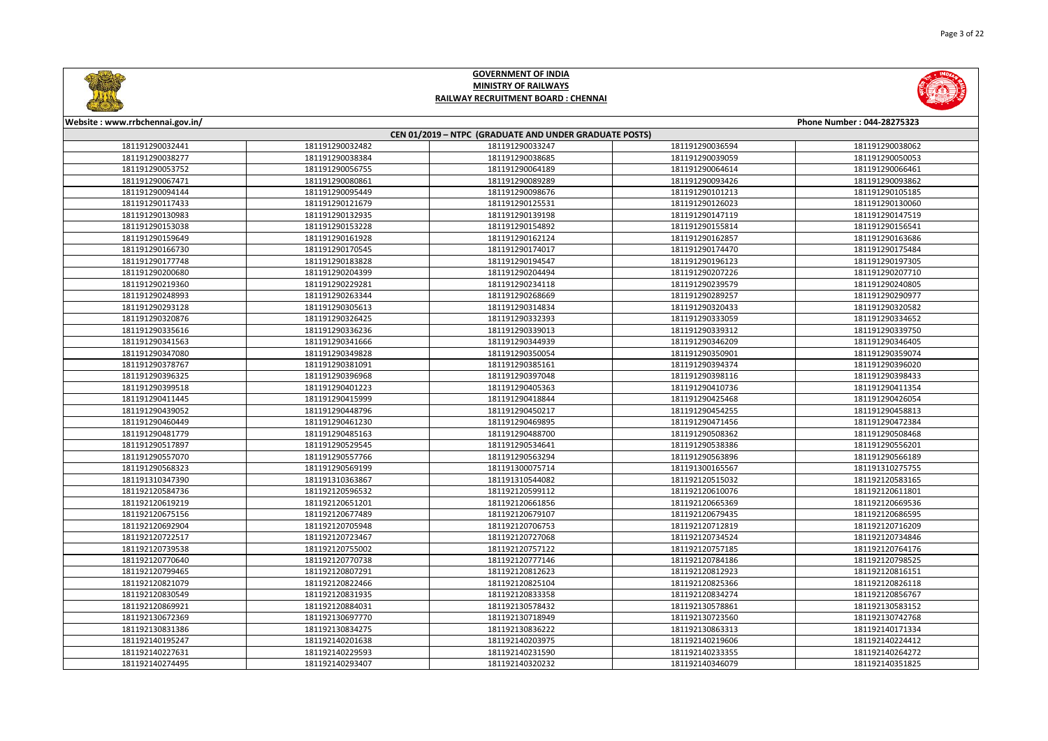

**Website : www.rrbchennai.gov.in/ Phone Number : 044-28275323**



## **CEN 01/2019 – NTPC (GRADUATE AND UNDER GRADUATE POSTS)** 181191290032482 181191290033247 181191290036594 181191290038062 181191290038384 181191290038685 181191290039059 181191290050053 181191290053752 | 181191290056755 | 181191290056755 | 181191290064189 | 181191290064614 | 1811912900546461 181191290080861 181191290089289 181191290093426 181191290093862 181191290095449 181191290098676 181191290101213 181191290105185 181191290117433 | 181191290121679 181191290125531 181191290126023 181191290130060 181191290132935 181191290139198 181191290147119 181191290147519 181191290153228 181191290154892 181191290155814 181191290156541 181191290161928 181191290162124 181191290162857 181191290163686 181191290170545 181191290174017 181191290174470 181191290175484 181191290183828 181191290194547 181191290196123 181191290197305 181191290204399 181191290204494 181191290207226 181191290207710 181191290229281 181191290234118 181191290239579 181191290240805 181191290248993 | 181191290263344 181191290268669 181191290289257 181191290290977 181191290305613 181191290314834 181191290320433 181191290320582 181191290326425 181191290332393 181191290333059 181191290334652 181191290336236 181191290339013 181191290339312 181191290339750 181191290341666 181191290344939 181191290346209 181191290346405 181191290349828 181191290350054 181191290350901 181191290359074 181191290381091 181191290385161 181191290394374 181191290396020 181191290396968 181191290397048 181191290398116 181191290398433 181191290401223 181191290405363 181191290410736 181191290411354 181191290415999 181191290418844 181191290425468 181191290426054 181191290448796 181191290450217 181191290454255 181191290458813 181191290461230 181191290469895 181191290471456 181191290472384 181191290485163 181191290488700 181191290508362 181191290508468 181191290529545 181191290534641 181191290538386 181191290556201 181191290557766 181191290563294 181191290563896 181191290566189 181191290569199 181191300075714 181191300165567 181191310275755 181191310363867 181191310544082 181192120515032 181192120583165 181192120596532 181192120599112 181192120610076 181192120611801 181192120651201 181192120661856 181192120665369 181192120669536 181192120677489 181192120679107 181192120679435 181192120686595 181192120705948 181192120706753 181192120712819 181192120716209 181192120723467 181192120727068 181192120734524 181192120734846 181192120755002 181192120757122 181192120757185 181192120764176 181192120770738 181192120777146 181192120784186 181192120798525 181192120807291 181192120812623 181192120812923 181192120816151 181192120822466 181192120825104 181192120825366 181192120826118 181192120831935 181192120833358 181192120834274 181192120856767 181192120884031 181192130578432 181192130578861 181192130583152 181192130697770 181192130718949 181192130723560 181192130742768 181192130834275 181192130836222 181192130863313 181192140171334 181192140201638 181192140203975 181192140219606 181192140224412 181192140229593 181192140231590 181192140233355 181192140264272 181192140293407 181192140320232 181192140346079 181192140351825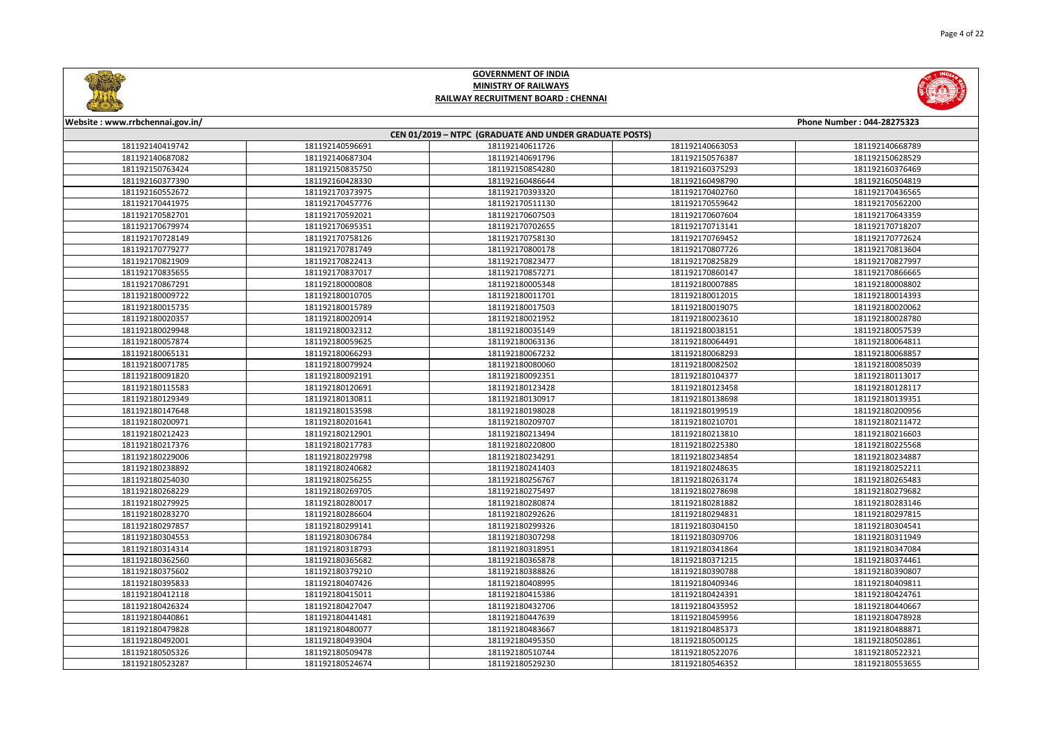



| Website: www.rrbchennai.gov.in/<br>Phone Number: 044-28275323 |                 |                                                        |                 |                 |  |
|---------------------------------------------------------------|-----------------|--------------------------------------------------------|-----------------|-----------------|--|
|                                                               |                 | CEN 01/2019 - NTPC (GRADUATE AND UNDER GRADUATE POSTS) |                 |                 |  |
| 181192140419742                                               | 181192140596691 | 181192140611726                                        | 181192140663053 | 181192140668789 |  |
| 181192140687082                                               | 181192140687304 | 181192140691796                                        | 181192150576387 | 181192150628529 |  |
| 181192150763424                                               | 181192150835750 | 181192150854280                                        | 181192160375293 | 181192160376469 |  |
| 181192160377390                                               | 181192160428330 | 181192160486644                                        | 181192160498790 | 181192160504819 |  |
| 181192160552672                                               | 181192170373975 | 181192170393320                                        | 181192170402760 | 181192170436565 |  |
| 181192170441975                                               | 181192170457776 | 181192170511130                                        | 181192170559642 | 181192170562200 |  |
| 181192170582701                                               | 181192170592021 | 181192170607503                                        | 181192170607604 | 181192170643359 |  |
| 181192170679974                                               | 181192170695351 | 181192170702655                                        | 181192170713141 | 181192170718207 |  |
| 181192170728149                                               | 181192170758126 | 181192170758130                                        | 181192170769452 | 181192170772624 |  |
| 181192170779277                                               | 181192170781749 | 181192170800178                                        | 181192170807726 | 181192170813604 |  |
| 181192170821909                                               | 181192170822413 | 181192170823477                                        | 181192170825829 | 181192170827997 |  |
| 181192170835655                                               | 181192170837017 | 181192170857271                                        | 181192170860147 | 181192170866665 |  |
| 181192170867291                                               | 181192180000808 | 181192180005348                                        | 181192180007885 | 181192180008802 |  |
| 181192180009722                                               | 181192180010705 | 181192180011701                                        | 181192180012015 | 181192180014393 |  |
| 181192180015735                                               | 181192180015789 | 181192180017503                                        | 181192180019075 | 181192180020062 |  |
| 181192180020357                                               | 181192180020914 | 181192180021952                                        | 181192180023610 | 181192180028780 |  |
| 181192180029948                                               | 181192180032312 | 181192180035149                                        | 181192180038151 | 181192180057539 |  |
| 181192180057874                                               | 181192180059625 | 181192180063136                                        | 181192180064491 | 181192180064811 |  |
| 181192180065131                                               | 181192180066293 | 181192180067232                                        | 181192180068293 | 181192180068857 |  |
| 181192180071785                                               | 181192180079924 | 181192180080060                                        | 181192180082502 | 181192180085039 |  |
| 181192180091820                                               | 181192180092191 | 181192180092351                                        | 181192180104377 | 181192180113017 |  |
| 181192180115583                                               | 181192180120691 | 181192180123428                                        | 181192180123458 | 181192180128117 |  |
| 181192180129349                                               | 181192180130811 | 181192180130917                                        | 181192180138698 | 181192180139351 |  |
| 181192180147648                                               | 181192180153598 | 181192180198028                                        | 181192180199519 | 181192180200956 |  |
| 181192180200971                                               | 181192180201641 | 181192180209707                                        | 181192180210701 | 181192180211472 |  |
| 181192180212423                                               | 181192180212901 | 181192180213494                                        | 181192180213810 | 181192180216603 |  |
| 181192180217376                                               | 181192180217783 | 181192180220800                                        | 181192180225380 | 181192180225568 |  |
| 181192180229006                                               | 181192180229798 | 181192180234291                                        | 181192180234854 | 181192180234887 |  |
| 181192180238892                                               | 181192180240682 | 181192180241403                                        | 181192180248635 | 181192180252211 |  |
| 181192180254030                                               | 181192180256255 | 181192180256767                                        | 181192180263174 | 181192180265483 |  |
| 181192180268229                                               | 181192180269705 | 181192180275497                                        | 181192180278698 | 181192180279682 |  |
| 181192180279925                                               | 181192180280017 | 181192180280874                                        | 181192180281882 | 181192180283146 |  |
| 181192180283270                                               | 181192180286604 | 181192180292626                                        | 181192180294831 | 181192180297815 |  |
| 181192180297857                                               | 181192180299141 | 181192180299326                                        | 181192180304150 | 181192180304541 |  |
| 181192180304553                                               | 181192180306784 | 181192180307298                                        | 181192180309706 | 181192180311949 |  |
| 181192180314314                                               | 181192180318793 | 181192180318951                                        | 181192180341864 | 181192180347084 |  |
| 181192180362560                                               | 181192180365682 | 181192180365878                                        | 181192180371215 | 181192180374461 |  |
| 181192180375602                                               | 181192180379210 | 181192180388826                                        | 181192180390788 | 181192180390807 |  |
| 181192180395833                                               | 181192180407426 | 181192180408995                                        | 181192180409346 | 181192180409811 |  |
| 181192180412118                                               | 181192180415011 | 181192180415386                                        | 181192180424391 | 181192180424761 |  |
| 181192180426324                                               | 181192180427047 | 181192180432706                                        | 181192180435952 | 181192180440667 |  |
| 181192180440861                                               | 181192180441481 | 181192180447639                                        | 181192180459956 | 181192180478928 |  |
| 181192180479828                                               | 181192180480077 | 181192180483667                                        | 181192180485373 | 181192180488871 |  |
| 181192180492001                                               | 181192180493904 | 181192180495350                                        | 181192180500125 | 181192180502861 |  |
| 181192180505326                                               | 181192180509478 | 181192180510744                                        | 181192180522076 | 181192180522321 |  |
| 181192180523287                                               | 181192180524674 | 181192180529230                                        | 181192180546352 | 181192180553655 |  |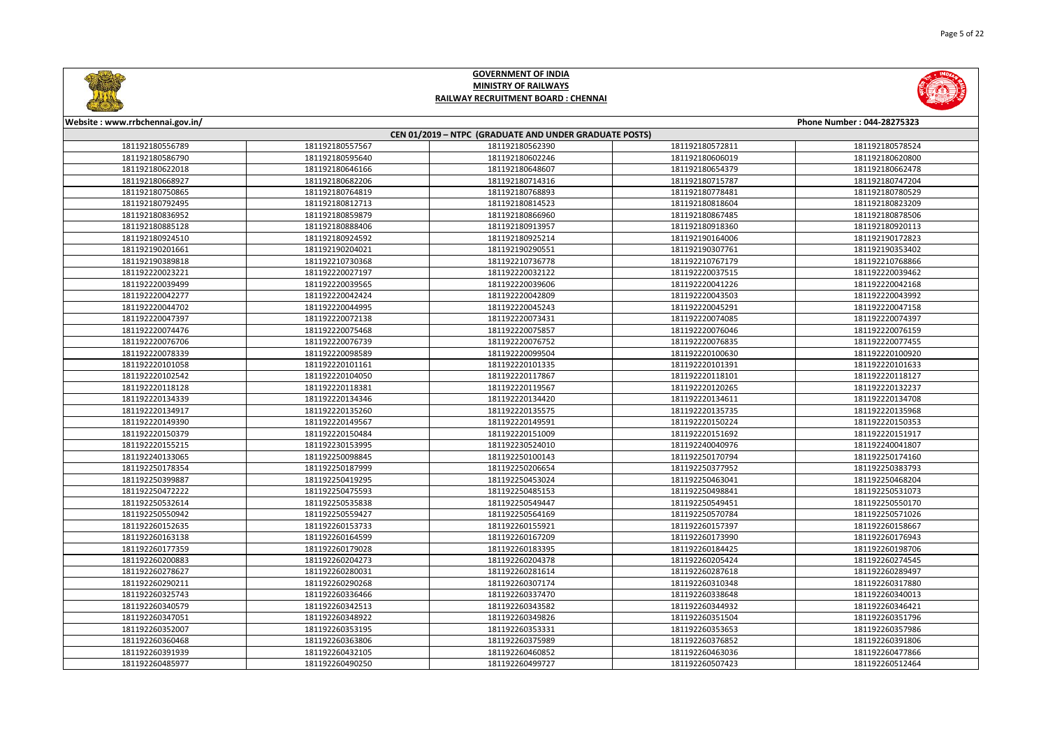



| Website: www.rrbchennai.gov.in/                        |                 |                 |                 | Phone Number: 044-28275323 |  |
|--------------------------------------------------------|-----------------|-----------------|-----------------|----------------------------|--|
| CEN 01/2019 - NTPC (GRADUATE AND UNDER GRADUATE POSTS) |                 |                 |                 |                            |  |
| 181192180556789                                        | 181192180557567 | 181192180562390 | 181192180572811 | 181192180578524            |  |
| 181192180586790                                        | 181192180595640 | 181192180602246 | 181192180606019 | 181192180620800            |  |
| 181192180622018                                        | 181192180646166 | 181192180648607 | 181192180654379 | 181192180662478            |  |
| 181192180668927                                        | 181192180682206 | 181192180714316 | 181192180715787 | 181192180747204            |  |
| 181192180750865                                        | 181192180764819 | 181192180768893 | 181192180778481 | 181192180780529            |  |
| 181192180792495                                        | 181192180812713 | 181192180814523 | 181192180818604 | 181192180823209            |  |
| 181192180836952                                        | 181192180859879 | 181192180866960 | 181192180867485 | 181192180878506            |  |
| 181192180885128                                        | 181192180888406 | 181192180913957 | 181192180918360 | 181192180920113            |  |
| 181192180924510                                        | 181192180924592 | 181192180925214 | 181192190164006 | 181192190172823            |  |
| 181192190201661                                        | 181192190204021 | 181192190290551 | 181192190307761 | 181192190353402            |  |
| 181192190389818                                        | 181192210730368 | 181192210736778 | 181192210767179 | 181192210768866            |  |
| 181192220023221                                        | 181192220027197 | 181192220032122 | 181192220037515 | 181192220039462            |  |
| 181192220039499                                        | 181192220039565 | 181192220039606 | 181192220041226 | 181192220042168            |  |
| 181192220042277                                        | 181192220042424 | 181192220042809 | 181192220043503 | 181192220043992            |  |
| 181192220044702                                        | 181192220044995 | 181192220045243 | 181192220045291 | 181192220047158            |  |
| 181192220047397                                        | 181192220072138 | 181192220073431 | 181192220074085 | 181192220074397            |  |
| 181192220074476                                        | 181192220075468 | 181192220075857 | 181192220076046 | 181192220076159            |  |
| 181192220076706                                        | 181192220076739 | 181192220076752 | 181192220076835 | 181192220077455            |  |
| 181192220078339                                        | 181192220098589 | 181192220099504 | 181192220100630 | 181192220100920            |  |
| 181192220101058                                        | 181192220101161 | 181192220101335 | 181192220101391 | 181192220101633            |  |
| 181192220102542                                        | 181192220104050 | 181192220117867 | 181192220118101 | 181192220118127            |  |
| 181192220118128                                        | 181192220118381 | 181192220119567 | 181192220120265 | 181192220132237            |  |
| 181192220134339                                        | 181192220134346 | 181192220134420 | 181192220134611 | 181192220134708            |  |
| 181192220134917                                        | 181192220135260 | 181192220135575 | 181192220135735 | 181192220135968            |  |
| 181192220149390                                        | 181192220149567 | 181192220149591 | 181192220150224 | 181192220150353            |  |
| 181192220150379                                        | 181192220150484 | 181192220151009 | 181192220151692 | 181192220151917            |  |
| 181192220155215                                        | 181192230153995 | 181192230524010 | 181192240040976 | 181192240041807            |  |
| 181192240133065                                        | 181192250098845 | 181192250100143 | 181192250170794 | 181192250174160            |  |
| 181192250178354                                        | 181192250187999 | 181192250206654 | 181192250377952 | 181192250383793            |  |
| 181192250399887                                        | 181192250419295 | 181192250453024 | 181192250463041 | 181192250468204            |  |
| 181192250472222                                        | 181192250475593 | 181192250485153 | 181192250498841 | 181192250531073            |  |
| 181192250532614                                        | 181192250535838 | 181192250549447 | 181192250549451 | 181192250550170            |  |
| 181192250550942                                        | 181192250559427 | 181192250564169 | 181192250570784 | 181192250571026            |  |
| 181192260152635                                        | 181192260153733 | 181192260155921 | 181192260157397 | 181192260158667            |  |
| 181192260163138                                        | 181192260164599 | 181192260167209 | 181192260173990 | 181192260176943            |  |
| 181192260177359                                        | 181192260179028 | 181192260183395 | 181192260184425 | 181192260198706            |  |
| 181192260200883                                        | 181192260204273 | 181192260204378 | 181192260205424 | 181192260274545            |  |
| 181192260278627                                        | 181192260280031 | 181192260281614 | 181192260287618 | 181192260289497            |  |
| 181192260290211                                        | 181192260290268 | 181192260307174 | 181192260310348 | 181192260317880            |  |
| 181192260325743                                        | 181192260336466 | 181192260337470 | 181192260338648 | 181192260340013            |  |
| 181192260340579                                        | 181192260342513 | 181192260343582 | 181192260344932 | 181192260346421            |  |
| 181192260347051                                        | 181192260348922 | 181192260349826 | 181192260351504 | 181192260351796            |  |
| 181192260352007                                        | 181192260353195 | 181192260353331 | 181192260353653 | 181192260357986            |  |
| 181192260360468                                        | 181192260363806 | 181192260375989 | 181192260376852 | 181192260391806            |  |
| 181192260391939                                        | 181192260432105 | 181192260460852 | 181192260463036 | 181192260477866            |  |
| 181192260485977                                        | 181192260490250 | 181192260499727 | 181192260507423 | 181192260512464            |  |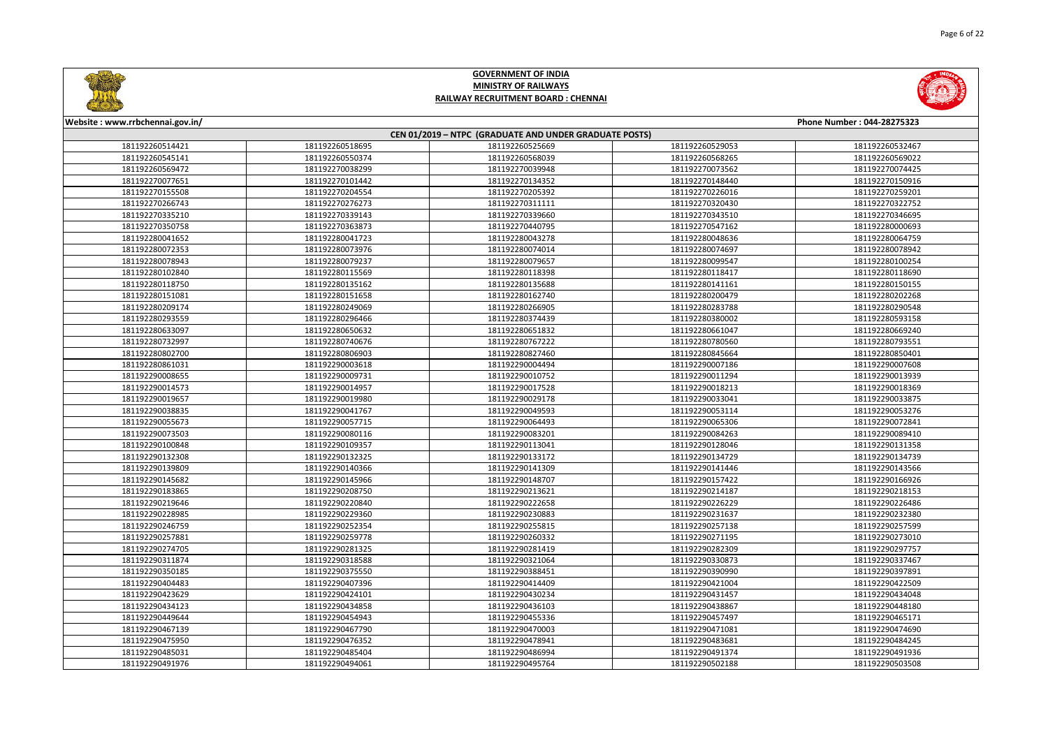



| Phone Number: 044-28275323<br>Website: www.rrbchennai.gov.in/ |                 |                 |                 |                 |  |
|---------------------------------------------------------------|-----------------|-----------------|-----------------|-----------------|--|
| CEN 01/2019 - NTPC (GRADUATE AND UNDER GRADUATE POSTS)        |                 |                 |                 |                 |  |
| 181192260514421                                               | 181192260518695 | 181192260525669 | 181192260529053 | 181192260532467 |  |
| 181192260545141                                               | 181192260550374 | 181192260568039 | 181192260568265 | 181192260569022 |  |
| 181192260569472                                               | 181192270038299 | 181192270039948 | 181192270073562 | 181192270074425 |  |
| 181192270077651                                               | 181192270101442 | 181192270134352 | 181192270148440 | 181192270150916 |  |
| 181192270155508                                               | 181192270204554 | 181192270205392 | 181192270226016 | 181192270259201 |  |
| 181192270266743                                               | 181192270276273 | 181192270311111 | 181192270320430 | 181192270322752 |  |
| 181192270335210                                               | 181192270339143 | 181192270339660 | 181192270343510 | 181192270346695 |  |
| 181192270350758                                               | 181192270363873 | 181192270440795 | 181192270547162 | 181192280000693 |  |
| 181192280041652                                               | 181192280041723 | 181192280043278 | 181192280048636 | 181192280064759 |  |
| 181192280072353                                               | 181192280073976 | 181192280074014 | 181192280074697 | 181192280078942 |  |
| 181192280078943                                               | 181192280079237 | 181192280079657 | 181192280099547 | 181192280100254 |  |
| 181192280102840                                               | 181192280115569 | 181192280118398 | 181192280118417 | 181192280118690 |  |
| 181192280118750                                               | 181192280135162 | 181192280135688 | 181192280141161 | 181192280150155 |  |
| 181192280151081                                               | 181192280151658 | 181192280162740 | 181192280200479 | 181192280202268 |  |
| 181192280209174                                               | 181192280249069 | 181192280266905 | 181192280283788 | 181192280290548 |  |
| 181192280293559                                               | 181192280296466 | 181192280374439 | 181192280380002 | 181192280593158 |  |
| 181192280633097                                               | 181192280650632 | 181192280651832 | 181192280661047 | 181192280669240 |  |
| 181192280732997                                               | 181192280740676 | 181192280767222 | 181192280780560 | 181192280793551 |  |
| 181192280802700                                               | 181192280806903 | 181192280827460 | 181192280845664 | 181192280850401 |  |
| 181192280861031                                               | 181192290003618 | 181192290004494 | 181192290007186 | 181192290007608 |  |
| 181192290008655                                               | 181192290009731 | 181192290010752 | 181192290011294 | 181192290013939 |  |
| 181192290014573                                               | 181192290014957 | 181192290017528 | 181192290018213 | 181192290018369 |  |
| 181192290019657                                               | 181192290019980 | 181192290029178 | 181192290033041 | 181192290033875 |  |
| 181192290038835                                               | 181192290041767 | 181192290049593 | 181192290053114 | 181192290053276 |  |
| 181192290055673                                               | 181192290057715 | 181192290064493 | 181192290065306 | 181192290072841 |  |
| 181192290073503                                               | 181192290080116 | 181192290083201 | 181192290084263 | 181192290089410 |  |
| 181192290100848                                               | 181192290109357 | 181192290113041 | 181192290128046 | 181192290131358 |  |
| 181192290132308                                               | 181192290132325 | 181192290133172 | 181192290134729 | 181192290134739 |  |
| 181192290139809                                               | 181192290140366 | 181192290141309 | 181192290141446 | 181192290143566 |  |
| 181192290145682                                               | 181192290145966 | 181192290148707 | 181192290157422 | 181192290166926 |  |
| 181192290183865                                               | 181192290208750 | 181192290213621 | 181192290214187 | 181192290218153 |  |
| 181192290219646                                               | 181192290220840 | 181192290222658 | 181192290226229 | 181192290226486 |  |
| 181192290228985                                               | 181192290229360 | 181192290230883 | 181192290231637 | 181192290232380 |  |
| 181192290246759                                               | 181192290252354 | 181192290255815 | 181192290257138 | 181192290257599 |  |
| 181192290257881                                               | 181192290259778 | 181192290260332 | 181192290271195 | 181192290273010 |  |
| 181192290274705                                               | 181192290281325 | 181192290281419 | 181192290282309 | 181192290297757 |  |
| 181192290311874                                               | 181192290318588 | 181192290321064 | 181192290330873 | 181192290337467 |  |
| 181192290350185                                               | 181192290375550 | 181192290388451 | 181192290390990 | 181192290397891 |  |
| 181192290404483                                               | 181192290407396 | 181192290414409 | 181192290421004 | 181192290422509 |  |
| 181192290423629                                               | 181192290424101 | 181192290430234 | 181192290431457 | 181192290434048 |  |
| 181192290434123                                               | 181192290434858 | 181192290436103 | 181192290438867 | 181192290448180 |  |
| 181192290449644                                               | 181192290454943 | 181192290455336 | 181192290457497 | 181192290465171 |  |
| 181192290467139                                               | 181192290467790 | 181192290470003 | 181192290471081 | 181192290474690 |  |
| 181192290475950                                               | 181192290476352 | 181192290478941 | 181192290483681 | 181192290484245 |  |
| 181192290485031                                               | 181192290485404 | 181192290486994 | 181192290491374 | 181192290491936 |  |
| 181192290491976                                               | 181192290494061 | 181192290495764 | 181192290502188 | 181192290503508 |  |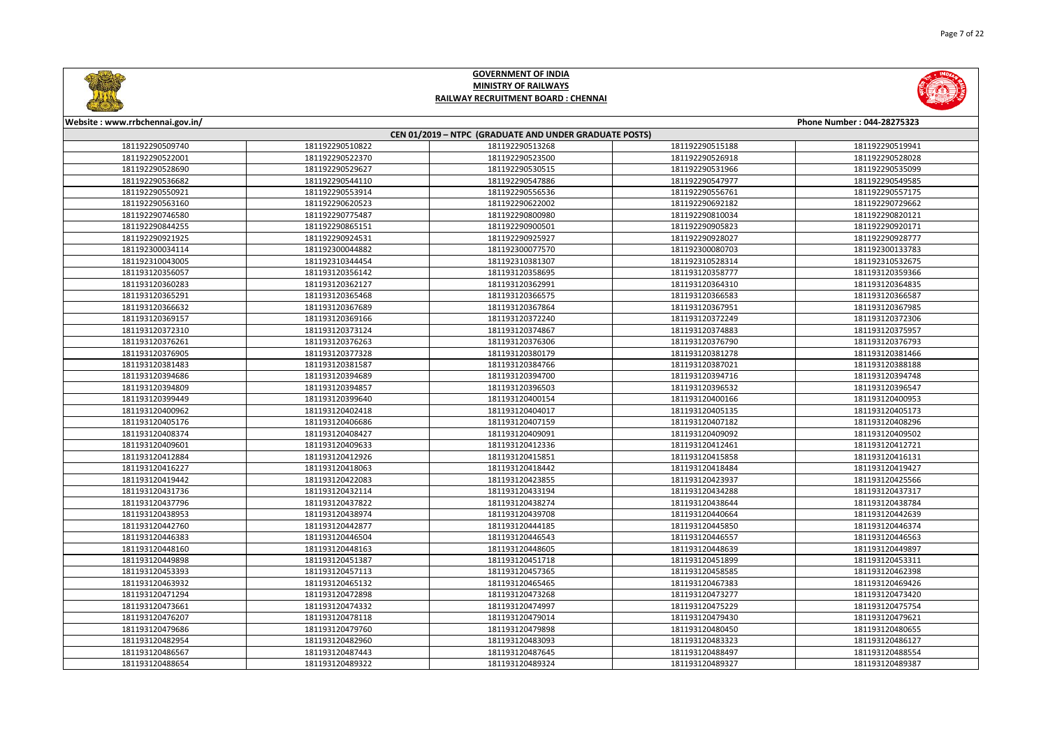



| Website : www.rrbchennai.gov.in/                       |                 |                 |                 | Phone Number: 044-28275323 |  |
|--------------------------------------------------------|-----------------|-----------------|-----------------|----------------------------|--|
| CEN 01/2019 - NTPC (GRADUATE AND UNDER GRADUATE POSTS) |                 |                 |                 |                            |  |
| 181192290509740                                        | 181192290510822 | 181192290513268 | 181192290515188 | 181192290519941            |  |
| 181192290522001                                        | 181192290522370 | 181192290523500 | 181192290526918 | 181192290528028            |  |
| 181192290528690                                        | 181192290529627 | 181192290530515 | 181192290531966 | 181192290535099            |  |
| 181192290536682                                        | 181192290544110 | 181192290547886 | 181192290547977 | 181192290549585            |  |
| 181192290550921                                        | 181192290553914 | 181192290556536 | 181192290556761 | 181192290557175            |  |
| 181192290563160                                        | 181192290620523 | 181192290622002 | 181192290692182 | 181192290729662            |  |
| 181192290746580                                        | 181192290775487 | 181192290800980 | 181192290810034 | 181192290820121            |  |
| 181192290844255                                        | 181192290865151 | 181192290900501 | 181192290905823 | 181192290920171            |  |
| 181192290921925                                        | 181192290924531 | 181192290925927 | 181192290928027 | 181192290928777            |  |
| 181192300034114                                        | 181192300044882 | 181192300077570 | 181192300080703 | 181192300133783            |  |
| 181192310043005                                        | 181192310344454 | 181192310381307 | 181192310528314 | 181192310532675            |  |
| 181193120356057                                        | 181193120356142 | 181193120358695 | 181193120358777 | 181193120359366            |  |
| 181193120360283                                        | 181193120362127 | 181193120362991 | 181193120364310 | 181193120364835            |  |
| 181193120365291                                        | 181193120365468 | 181193120366575 | 181193120366583 | 181193120366587            |  |
| 181193120366632                                        | 181193120367689 | 181193120367864 | 181193120367951 | 181193120367985            |  |
| 181193120369157                                        | 181193120369166 | 181193120372240 | 181193120372249 | 181193120372306            |  |
| 181193120372310                                        | 181193120373124 | 181193120374867 | 181193120374883 | 181193120375957            |  |
| 181193120376261                                        | 181193120376263 | 181193120376306 | 181193120376790 | 181193120376793            |  |
| 181193120376905                                        | 181193120377328 | 181193120380179 | 181193120381278 | 181193120381466            |  |
| 181193120381483                                        | 181193120381587 | 181193120384766 | 181193120387021 | 181193120388188            |  |
| 181193120394686                                        | 181193120394689 | 181193120394700 | 181193120394716 | 181193120394748            |  |
| 181193120394809                                        | 181193120394857 | 181193120396503 | 181193120396532 | 181193120396547            |  |
| 181193120399449                                        | 181193120399640 | 181193120400154 | 181193120400166 | 181193120400953            |  |
| 181193120400962                                        | 181193120402418 | 181193120404017 | 181193120405135 | 181193120405173            |  |
| 181193120405176                                        | 181193120406686 | 181193120407159 | 181193120407182 | 181193120408296            |  |
| 181193120408374                                        | 181193120408427 | 181193120409091 | 181193120409092 | 181193120409502            |  |
| 181193120409601                                        | 181193120409633 | 181193120412336 | 181193120412461 | 181193120412721            |  |
| 181193120412884                                        | 181193120412926 | 181193120415851 | 181193120415858 | 181193120416131            |  |
| 181193120416227                                        | 181193120418063 | 181193120418442 | 181193120418484 | 181193120419427            |  |
| 181193120419442                                        | 181193120422083 | 181193120423855 | 181193120423937 | 181193120425566            |  |
| 181193120431736                                        | 181193120432114 | 181193120433194 | 181193120434288 | 181193120437317            |  |
| 181193120437796                                        | 181193120437822 | 181193120438274 | 181193120438644 | 181193120438784            |  |
| 181193120438953                                        | 181193120438974 | 181193120439708 | 181193120440664 | 181193120442639            |  |
| 181193120442760                                        | 181193120442877 | 181193120444185 | 181193120445850 | 181193120446374            |  |
| 181193120446383                                        | 181193120446504 | 181193120446543 | 181193120446557 | 181193120446563            |  |
| 181193120448160                                        | 181193120448163 | 181193120448605 | 181193120448639 | 181193120449897            |  |
| 181193120449898                                        | 181193120451387 | 181193120451718 | 181193120451899 | 181193120453311            |  |
| 181193120453393                                        | 181193120457113 | 181193120457365 | 181193120458585 | 181193120462398            |  |
| 181193120463932                                        | 181193120465132 | 181193120465465 | 181193120467383 | 181193120469426            |  |
| 181193120471294                                        | 181193120472898 | 181193120473268 | 181193120473277 | 181193120473420            |  |
| 181193120473661                                        | 181193120474332 | 181193120474997 | 181193120475229 | 181193120475754            |  |
| 181193120476207                                        | 181193120478118 | 181193120479014 | 181193120479430 | 181193120479621            |  |
| 181193120479686                                        | 181193120479760 | 181193120479898 | 181193120480450 | 181193120480655            |  |
| 181193120482954                                        | 181193120482960 | 181193120483093 | 181193120483323 | 181193120486127            |  |
| 181193120486567                                        | 181193120487443 | 181193120487645 | 181193120488497 | 181193120488554            |  |
| 181193120488654                                        | 181193120489322 | 181193120489324 | 181193120489327 | 181193120489387            |  |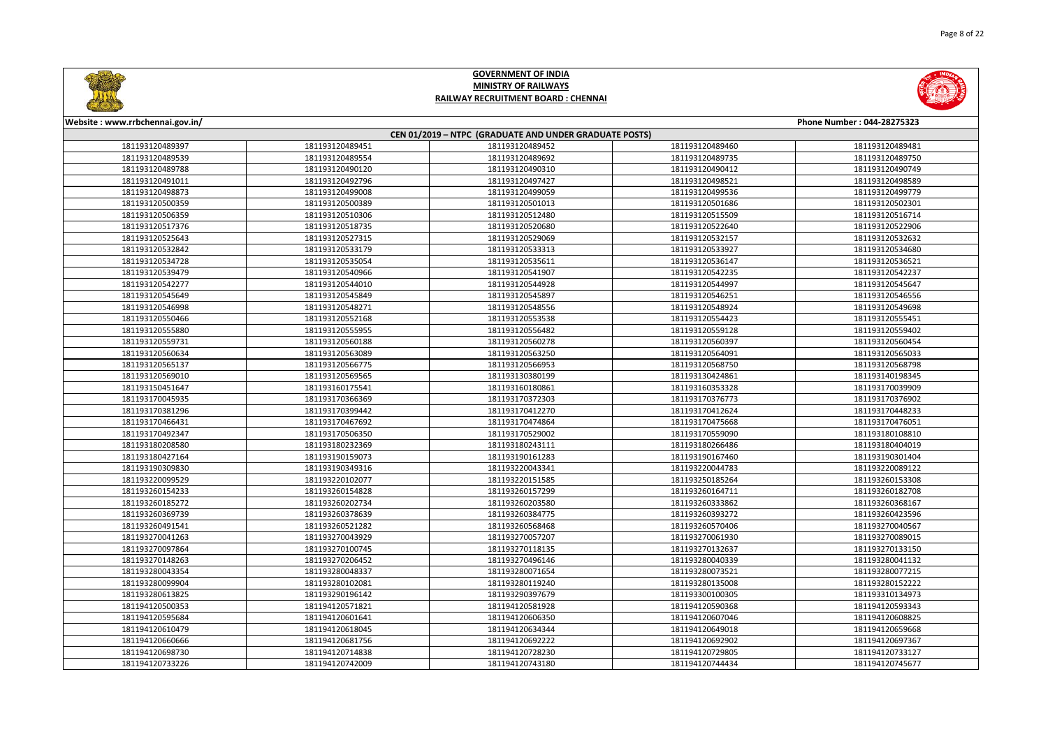



| Website: www.rrbchennai.gov.in/                        |                 |                 |                 | Phone Number: 044-28275323 |  |
|--------------------------------------------------------|-----------------|-----------------|-----------------|----------------------------|--|
| CEN 01/2019 - NTPC (GRADUATE AND UNDER GRADUATE POSTS) |                 |                 |                 |                            |  |
| 181193120489397                                        | 181193120489451 | 181193120489452 | 181193120489460 | 181193120489481            |  |
| 181193120489539                                        | 181193120489554 | 181193120489692 | 181193120489735 | 181193120489750            |  |
| 181193120489788                                        | 181193120490120 | 181193120490310 | 181193120490412 | 181193120490749            |  |
| 181193120491011                                        | 181193120492796 | 181193120497427 | 181193120498521 | 181193120498589            |  |
| 181193120498873                                        | 181193120499008 | 181193120499059 | 181193120499536 | 181193120499779            |  |
| 181193120500359                                        | 181193120500389 | 181193120501013 | 181193120501686 | 181193120502301            |  |
| 181193120506359                                        | 181193120510306 | 181193120512480 | 181193120515509 | 181193120516714            |  |
| 181193120517376                                        | 181193120518735 | 181193120520680 | 181193120522640 | 181193120522906            |  |
| 181193120525643                                        | 181193120527315 | 181193120529069 | 181193120532157 | 181193120532632            |  |
| 181193120532842                                        | 181193120533179 | 181193120533313 | 181193120533927 | 181193120534680            |  |
| 181193120534728                                        | 181193120535054 | 181193120535611 | 181193120536147 | 181193120536521            |  |
| 181193120539479                                        | 181193120540966 | 181193120541907 | 181193120542235 | 181193120542237            |  |
| 181193120542277                                        | 181193120544010 | 181193120544928 | 181193120544997 | 181193120545647            |  |
| 181193120545649                                        | 181193120545849 | 181193120545897 | 181193120546251 | 181193120546556            |  |
| 181193120546998                                        | 181193120548271 | 181193120548556 | 181193120548924 | 181193120549698            |  |
| 181193120550466                                        | 181193120552168 | 181193120553538 | 181193120554423 | 181193120555451            |  |
| 181193120555880                                        | 181193120555955 | 181193120556482 | 181193120559128 | 181193120559402            |  |
| 181193120559731                                        | 181193120560188 | 181193120560278 | 181193120560397 | 181193120560454            |  |
| 181193120560634                                        | 181193120563089 | 181193120563250 | 181193120564091 | 181193120565033            |  |
| 181193120565137                                        | 181193120566775 | 181193120566953 | 181193120568750 | 181193120568798            |  |
| 181193120569010                                        | 181193120569565 | 181193130380199 | 181193130424861 | 181193140198345            |  |
| 181193150451647                                        | 181193160175541 | 181193160180861 | 181193160353328 | 181193170039909            |  |
| 181193170045935                                        | 181193170366369 | 181193170372303 | 181193170376773 | 181193170376902            |  |
| 181193170381296                                        | 181193170399442 | 181193170412270 | 181193170412624 | 181193170448233            |  |
| 181193170466431                                        | 181193170467692 | 181193170474864 | 181193170475668 | 181193170476051            |  |
| 181193170492347                                        | 181193170506350 | 181193170529002 | 181193170559090 | 181193180108810            |  |
| 181193180208580                                        | 181193180232369 | 181193180243111 | 181193180266486 | 181193180404019            |  |
| 181193180427164                                        | 181193190159073 | 181193190161283 | 181193190167460 | 181193190301404            |  |
| 181193190309830                                        | 181193190349316 | 181193220043341 | 181193220044783 | 181193220089122            |  |
| 181193220099529                                        | 181193220102077 | 181193220151585 | 181193250185264 | 181193260153308            |  |
| 181193260154233                                        | 181193260154828 | 181193260157299 | 181193260164711 | 181193260182708            |  |
| 181193260185272                                        | 181193260202734 | 181193260203580 | 181193260333862 | 181193260368167            |  |
| 181193260369739                                        | 181193260378639 | 181193260384775 | 181193260393272 | 181193260423596            |  |
| 181193260491541                                        | 181193260521282 | 181193260568468 | 181193260570406 | 181193270040567            |  |
| 181193270041263                                        | 181193270043929 | 181193270057207 | 181193270061930 | 181193270089015            |  |
| 181193270097864                                        | 181193270100745 | 181193270118135 | 181193270132637 | 181193270133150            |  |
| 181193270148263                                        | 181193270206452 | 181193270496146 | 181193280040339 | 181193280041132            |  |
| 181193280043354                                        | 181193280048337 | 181193280071654 | 181193280073521 | 181193280077215            |  |
| 181193280099904                                        | 181193280102081 | 181193280119240 | 181193280135008 | 181193280152222            |  |
| 181193280613825                                        | 181193290196142 | 181193290397679 | 181193300100305 | 181193310134973            |  |
| 181194120500353                                        | 181194120571821 | 181194120581928 | 181194120590368 | 181194120593343            |  |
| 181194120595684                                        | 181194120601641 | 181194120606350 | 181194120607046 | 181194120608825            |  |
| 181194120610479                                        | 181194120618045 | 181194120634344 | 181194120649018 | 181194120659668            |  |
| 181194120660666                                        | 181194120681756 | 181194120692222 | 181194120692902 | 181194120697367            |  |
| 181194120698730                                        | 181194120714838 | 181194120728230 | 181194120729805 | 181194120733127            |  |
| 181194120733226                                        | 181194120742009 | 181194120743180 | 181194120744434 | 181194120745677            |  |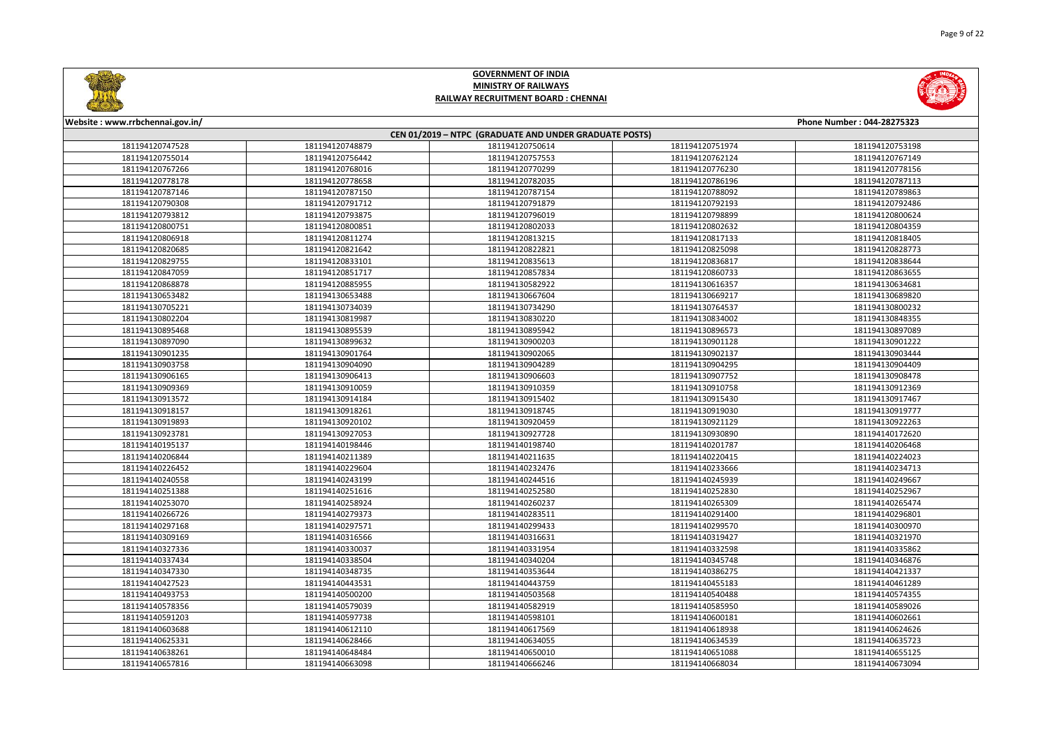



| Phone Number: 044-28275323<br>Website: www.rrbchennai.gov.in/ |                 |                 |                 |                 |  |
|---------------------------------------------------------------|-----------------|-----------------|-----------------|-----------------|--|
| CEN 01/2019 - NTPC (GRADUATE AND UNDER GRADUATE POSTS)        |                 |                 |                 |                 |  |
| 181194120747528                                               | 181194120748879 | 181194120750614 | 181194120751974 | 181194120753198 |  |
| 181194120755014                                               | 181194120756442 | 181194120757553 | 181194120762124 | 181194120767149 |  |
| 181194120767266                                               | 181194120768016 | 181194120770299 | 181194120776230 | 181194120778156 |  |
| 181194120778178                                               | 181194120778658 | 181194120782035 | 181194120786196 | 181194120787113 |  |
| 181194120787146                                               | 181194120787150 | 181194120787154 | 181194120788092 | 181194120789863 |  |
| 181194120790308                                               | 181194120791712 | 181194120791879 | 181194120792193 | 181194120792486 |  |
| 181194120793812                                               | 181194120793875 | 181194120796019 | 181194120798899 | 181194120800624 |  |
| 181194120800751                                               | 181194120800851 | 181194120802033 | 181194120802632 | 181194120804359 |  |
| 181194120806918                                               | 181194120811274 | 181194120813215 | 181194120817133 | 181194120818405 |  |
| 181194120820685                                               | 181194120821642 | 181194120822821 | 181194120825098 | 181194120828773 |  |
| 181194120829755                                               | 181194120833101 | 181194120835613 | 181194120836817 | 181194120838644 |  |
| 181194120847059                                               | 181194120851717 | 181194120857834 | 181194120860733 | 181194120863655 |  |
| 181194120868878                                               | 181194120885955 | 181194130582922 | 181194130616357 | 181194130634681 |  |
| 181194130653482                                               | 181194130653488 | 181194130667604 | 181194130669217 | 181194130689820 |  |
| 181194130705221                                               | 181194130734039 | 181194130734290 | 181194130764537 | 181194130800232 |  |
| 181194130802204                                               | 181194130819987 | 181194130830220 | 181194130834002 | 181194130848355 |  |
| 181194130895468                                               | 181194130895539 | 181194130895942 | 181194130896573 | 181194130897089 |  |
| 181194130897090                                               | 181194130899632 | 181194130900203 | 181194130901128 | 181194130901222 |  |
| 181194130901235                                               | 181194130901764 | 181194130902065 | 181194130902137 | 181194130903444 |  |
| 181194130903758                                               | 181194130904090 | 181194130904289 | 181194130904295 | 181194130904409 |  |
| 181194130906165                                               | 181194130906413 | 181194130906603 | 181194130907752 | 181194130908478 |  |
| 181194130909369                                               | 181194130910059 | 181194130910359 | 181194130910758 | 181194130912369 |  |
| 181194130913572                                               | 181194130914184 | 181194130915402 | 181194130915430 | 181194130917467 |  |
| 181194130918157                                               | 181194130918261 | 181194130918745 | 181194130919030 | 181194130919777 |  |
| 181194130919893                                               | 181194130920102 | 181194130920459 | 181194130921129 | 181194130922263 |  |
| 181194130923781                                               | 181194130927053 | 181194130927728 | 181194130930890 | 181194140172620 |  |
| 181194140195137                                               | 181194140198446 | 181194140198740 | 181194140201787 | 181194140206468 |  |
| 181194140206844                                               | 181194140211389 | 181194140211635 | 181194140220415 | 181194140224023 |  |
| 181194140226452                                               | 181194140229604 | 181194140232476 | 181194140233666 | 181194140234713 |  |
| 181194140240558                                               | 181194140243199 | 181194140244516 | 181194140245939 | 181194140249667 |  |
| 181194140251388                                               | 181194140251616 | 181194140252580 | 181194140252830 | 181194140252967 |  |
| 181194140253070                                               | 181194140258924 | 181194140260237 | 181194140265309 | 181194140265474 |  |
| 181194140266726                                               | 181194140279373 | 181194140283511 | 181194140291400 | 181194140296801 |  |
| 181194140297168                                               | 181194140297571 | 181194140299433 | 181194140299570 | 181194140300970 |  |
| 181194140309169                                               | 181194140316566 | 181194140316631 | 181194140319427 | 181194140321970 |  |
| 181194140327336                                               | 181194140330037 | 181194140331954 | 181194140332598 | 181194140335862 |  |
| 181194140337434                                               | 181194140338504 | 181194140340204 | 181194140345748 | 181194140346876 |  |
| 181194140347330                                               | 181194140348735 | 181194140353644 | 181194140386275 | 181194140421337 |  |
| 181194140427523                                               | 181194140443531 | 181194140443759 | 181194140455183 | 181194140461289 |  |
| 181194140493753                                               | 181194140500200 | 181194140503568 | 181194140540488 | 181194140574355 |  |
| 181194140578356                                               | 181194140579039 | 181194140582919 | 181194140585950 | 181194140589026 |  |
| 181194140591203                                               | 181194140597738 | 181194140598101 | 181194140600181 | 181194140602661 |  |
| 181194140603688                                               | 181194140612110 | 181194140617569 | 181194140618938 | 181194140624626 |  |
| 181194140625331                                               | 181194140628466 | 181194140634055 | 181194140634539 | 181194140635723 |  |
| 181194140638261                                               | 181194140648484 | 181194140650010 | 181194140651088 | 181194140655125 |  |
| 181194140657816                                               | 181194140663098 | 181194140666246 | 181194140668034 | 181194140673094 |  |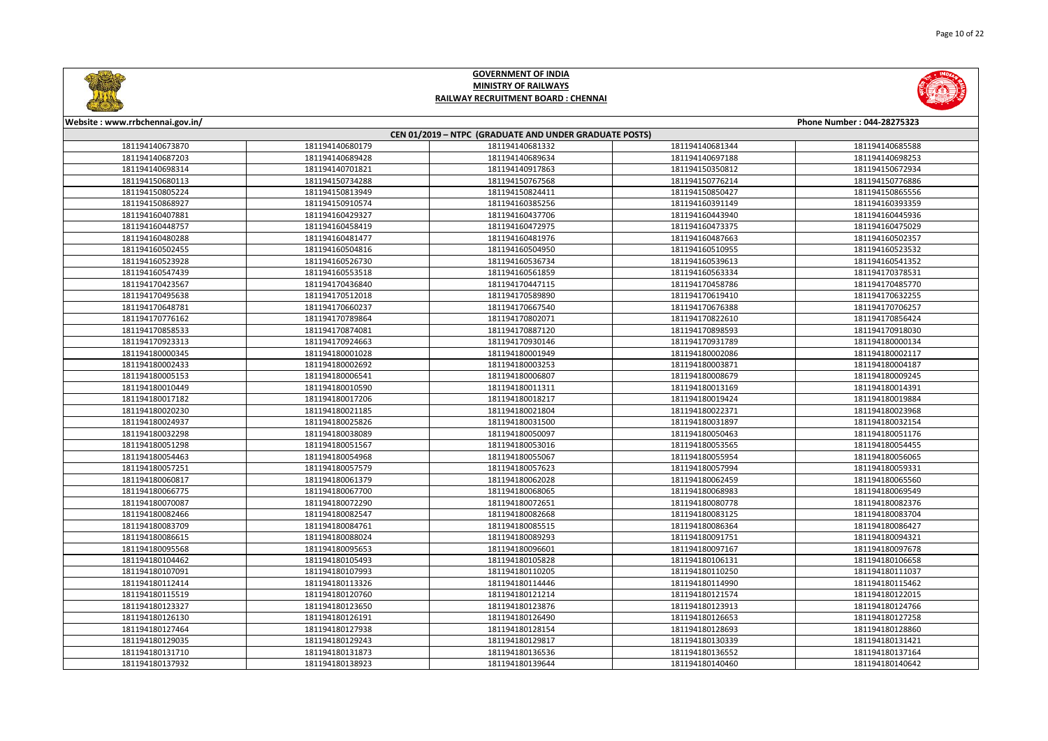



| Website: www.rrbchennai.gov.in/                        |                 |                 |                 | Phone Number: 044-28275323 |  |
|--------------------------------------------------------|-----------------|-----------------|-----------------|----------------------------|--|
| CEN 01/2019 - NTPC (GRADUATE AND UNDER GRADUATE POSTS) |                 |                 |                 |                            |  |
| 181194140673870                                        | 181194140680179 | 181194140681332 | 181194140681344 | 181194140685588            |  |
| 181194140687203                                        | 181194140689428 | 181194140689634 | 181194140697188 | 181194140698253            |  |
| 181194140698314                                        | 181194140701821 | 181194140917863 | 181194150350812 | 181194150672934            |  |
| 181194150680113                                        | 181194150734288 | 181194150767568 | 181194150776214 | 181194150776886            |  |
| 181194150805224                                        | 181194150813949 | 181194150824411 | 181194150850427 | 181194150865556            |  |
| 181194150868927                                        | 181194150910574 | 181194160385256 | 181194160391149 | 181194160393359            |  |
| 181194160407881                                        | 181194160429327 | 181194160437706 | 181194160443940 | 181194160445936            |  |
| 181194160448757                                        | 181194160458419 | 181194160472975 | 181194160473375 | 181194160475029            |  |
| 181194160480288                                        | 181194160481477 | 181194160481976 | 181194160487663 | 181194160502357            |  |
| 181194160502455                                        | 181194160504816 | 181194160504950 | 181194160510955 | 181194160523532            |  |
| 181194160523928                                        | 181194160526730 | 181194160536734 | 181194160539613 | 181194160541352            |  |
| 181194160547439                                        | 181194160553518 | 181194160561859 | 181194160563334 | 181194170378531            |  |
| 181194170423567                                        | 181194170436840 | 181194170447115 | 181194170458786 | 181194170485770            |  |
| 181194170495638                                        | 181194170512018 | 181194170589890 | 181194170619410 | 181194170632255            |  |
| 181194170648781                                        | 181194170660237 | 181194170667540 | 181194170676388 | 181194170706257            |  |
| 181194170776162                                        | 181194170789864 | 181194170802071 | 181194170822610 | 181194170856424            |  |
| 181194170858533                                        | 181194170874081 | 181194170887120 | 181194170898593 | 181194170918030            |  |
| 181194170923313                                        | 181194170924663 | 181194170930146 | 181194170931789 | 181194180000134            |  |
| 181194180000345                                        | 181194180001028 | 181194180001949 | 181194180002086 | 181194180002117            |  |
| 181194180002433                                        | 181194180002692 | 181194180003253 | 181194180003871 | 181194180004187            |  |
| 181194180005153                                        | 181194180006541 | 181194180006807 | 181194180008679 | 181194180009245            |  |
| 181194180010449                                        | 181194180010590 | 181194180011311 | 181194180013169 | 181194180014391            |  |
| 181194180017182                                        | 181194180017206 | 181194180018217 | 181194180019424 | 181194180019884            |  |
| 181194180020230                                        | 181194180021185 | 181194180021804 | 181194180022371 | 181194180023968            |  |
| 181194180024937                                        | 181194180025826 | 181194180031500 | 181194180031897 | 181194180032154            |  |
| 181194180032298                                        | 181194180038089 | 181194180050097 | 181194180050463 | 181194180051176            |  |
| 181194180051298                                        | 181194180051567 | 181194180053016 | 181194180053565 | 181194180054455            |  |
| 181194180054463                                        | 181194180054968 | 181194180055067 | 181194180055954 | 181194180056065            |  |
| 181194180057251                                        | 181194180057579 | 181194180057623 | 181194180057994 | 181194180059331            |  |
| 181194180060817                                        | 181194180061379 | 181194180062028 | 181194180062459 | 181194180065560            |  |
| 181194180066775                                        | 181194180067700 | 181194180068065 | 181194180068983 | 181194180069549            |  |
| 181194180070087                                        | 181194180072290 | 181194180072651 | 181194180080778 | 181194180082376            |  |
| 181194180082466                                        | 181194180082547 | 181194180082668 | 181194180083125 | 181194180083704            |  |
| 181194180083709                                        | 181194180084761 | 181194180085515 | 181194180086364 | 181194180086427            |  |
| 181194180086615                                        | 181194180088024 | 181194180089293 | 181194180091751 | 181194180094321            |  |
| 181194180095568                                        | 181194180095653 | 181194180096601 | 181194180097167 | 181194180097678            |  |
| 181194180104462                                        | 181194180105493 | 181194180105828 | 181194180106131 | 181194180106658            |  |
| 181194180107091                                        | 181194180107993 | 181194180110205 | 181194180110250 | 181194180111037            |  |
| 181194180112414                                        | 181194180113326 | 181194180114446 | 181194180114990 | 181194180115462            |  |
| 181194180115519                                        | 181194180120760 | 181194180121214 | 181194180121574 | 181194180122015            |  |
| 181194180123327                                        | 181194180123650 | 181194180123876 | 181194180123913 | 181194180124766            |  |
| 181194180126130                                        | 181194180126191 | 181194180126490 | 181194180126653 | 181194180127258            |  |
| 181194180127464                                        | 181194180127938 | 181194180128154 | 181194180128693 | 181194180128860            |  |
| 181194180129035                                        | 181194180129243 | 181194180129817 | 181194180130339 | 181194180131421            |  |
| 181194180131710                                        | 181194180131873 | 181194180136536 | 181194180136552 | 181194180137164            |  |
| 181194180137932                                        | 181194180138923 | 181194180139644 | 181194180140460 | 181194180140642            |  |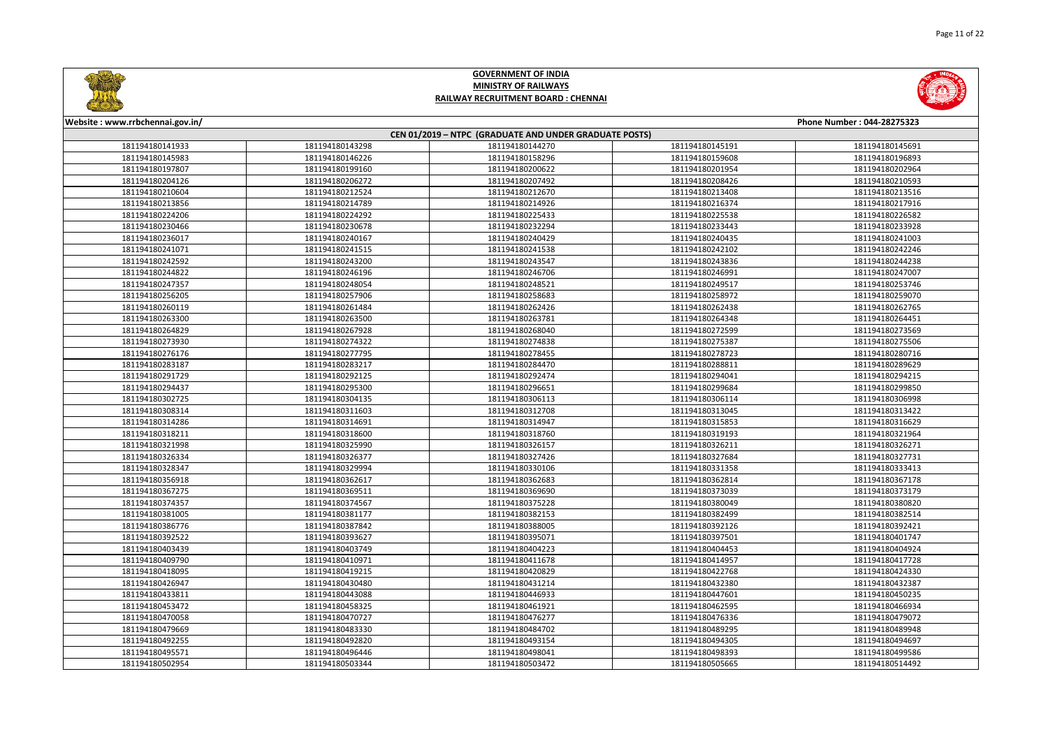



| Website: www.rrbchennai.gov.in/                        |                 |                 |                 | Phone Number: 044-28275323 |  |
|--------------------------------------------------------|-----------------|-----------------|-----------------|----------------------------|--|
| CEN 01/2019 - NTPC (GRADUATE AND UNDER GRADUATE POSTS) |                 |                 |                 |                            |  |
| 181194180141933                                        | 181194180143298 | 181194180144270 | 181194180145191 | 181194180145691            |  |
| 181194180145983                                        | 181194180146226 | 181194180158296 | 181194180159608 | 181194180196893            |  |
| 181194180197807                                        | 181194180199160 | 181194180200622 | 181194180201954 | 181194180202964            |  |
| 181194180204126                                        | 181194180206272 | 181194180207492 | 181194180208426 | 181194180210593            |  |
| 181194180210604                                        | 181194180212524 | 181194180212670 | 181194180213408 | 181194180213516            |  |
| 181194180213856                                        | 181194180214789 | 181194180214926 | 181194180216374 | 181194180217916            |  |
| 181194180224206                                        | 181194180224292 | 181194180225433 | 181194180225538 | 181194180226582            |  |
| 181194180230466                                        | 181194180230678 | 181194180232294 | 181194180233443 | 181194180233928            |  |
| 181194180236017                                        | 181194180240167 | 181194180240429 | 181194180240435 | 181194180241003            |  |
| 181194180241071                                        | 181194180241515 | 181194180241538 | 181194180242102 | 181194180242246            |  |
| 181194180242592                                        | 181194180243200 | 181194180243547 | 181194180243836 | 181194180244238            |  |
| 181194180244822                                        | 181194180246196 | 181194180246706 | 181194180246991 | 181194180247007            |  |
| 181194180247357                                        | 181194180248054 | 181194180248521 | 181194180249517 | 181194180253746            |  |
| 181194180256205                                        | 181194180257906 | 181194180258683 | 181194180258972 | 181194180259070            |  |
| 181194180260119                                        | 181194180261484 | 181194180262426 | 181194180262438 | 181194180262765            |  |
| 181194180263300                                        | 181194180263500 | 181194180263781 | 181194180264348 | 181194180264451            |  |
| 181194180264829                                        | 181194180267928 | 181194180268040 | 181194180272599 | 181194180273569            |  |
| 181194180273930                                        | 181194180274322 | 181194180274838 | 181194180275387 | 181194180275506            |  |
| 181194180276176                                        | 181194180277795 | 181194180278455 | 181194180278723 | 181194180280716            |  |
| 181194180283187                                        | 181194180283217 | 181194180284470 | 181194180288811 | 181194180289629            |  |
| 181194180291729                                        | 181194180292125 | 181194180292474 | 181194180294041 | 181194180294215            |  |
| 181194180294437                                        | 181194180295300 | 181194180296651 | 181194180299684 | 181194180299850            |  |
| 181194180302725                                        | 181194180304135 | 181194180306113 | 181194180306114 | 181194180306998            |  |
| 181194180308314                                        | 181194180311603 | 181194180312708 | 181194180313045 | 181194180313422            |  |
| 181194180314286                                        | 181194180314691 | 181194180314947 | 181194180315853 | 181194180316629            |  |
| 181194180318211                                        | 181194180318600 | 181194180318760 | 181194180319193 | 181194180321964            |  |
| 181194180321998                                        | 181194180325990 | 181194180326157 | 181194180326211 | 181194180326271            |  |
| 181194180326334                                        | 181194180326377 | 181194180327426 | 181194180327684 | 181194180327731            |  |
| 181194180328347                                        | 181194180329994 | 181194180330106 | 181194180331358 | 181194180333413            |  |
| 181194180356918                                        | 181194180362617 | 181194180362683 | 181194180362814 | 181194180367178            |  |
| 181194180367275                                        | 181194180369511 | 181194180369690 | 181194180373039 | 181194180373179            |  |
| 181194180374357                                        | 181194180374567 | 181194180375228 | 181194180380049 | 181194180380820            |  |
| 181194180381005                                        | 181194180381177 | 181194180382153 | 181194180382499 | 181194180382514            |  |
| 181194180386776                                        | 181194180387842 | 181194180388005 | 181194180392126 | 181194180392421            |  |
| 181194180392522                                        | 181194180393627 | 181194180395071 | 181194180397501 | 181194180401747            |  |
| 181194180403439                                        | 181194180403749 | 181194180404223 | 181194180404453 | 181194180404924            |  |
| 181194180409790                                        | 181194180410971 | 181194180411678 | 181194180414957 | 181194180417728            |  |
| 181194180418095                                        | 181194180419215 | 181194180420829 | 181194180422768 | 181194180424330            |  |
| 181194180426947                                        | 181194180430480 | 181194180431214 | 181194180432380 | 181194180432387            |  |
| 181194180433811                                        | 181194180443088 | 181194180446933 | 181194180447601 | 181194180450235            |  |
| 181194180453472                                        | 181194180458325 | 181194180461921 | 181194180462595 | 181194180466934            |  |
| 181194180470058                                        | 181194180470727 | 181194180476277 | 181194180476336 | 181194180479072            |  |
| 181194180479669                                        | 181194180483330 | 181194180484702 | 181194180489295 | 181194180489948            |  |
| 181194180492255                                        | 181194180492820 | 181194180493154 | 181194180494305 | 181194180494697            |  |
| 181194180495571                                        | 181194180496446 | 181194180498041 | 181194180498393 | 181194180499586            |  |
| 181194180502954                                        | 181194180503344 | 181194180503472 | 181194180505665 | 181194180514492            |  |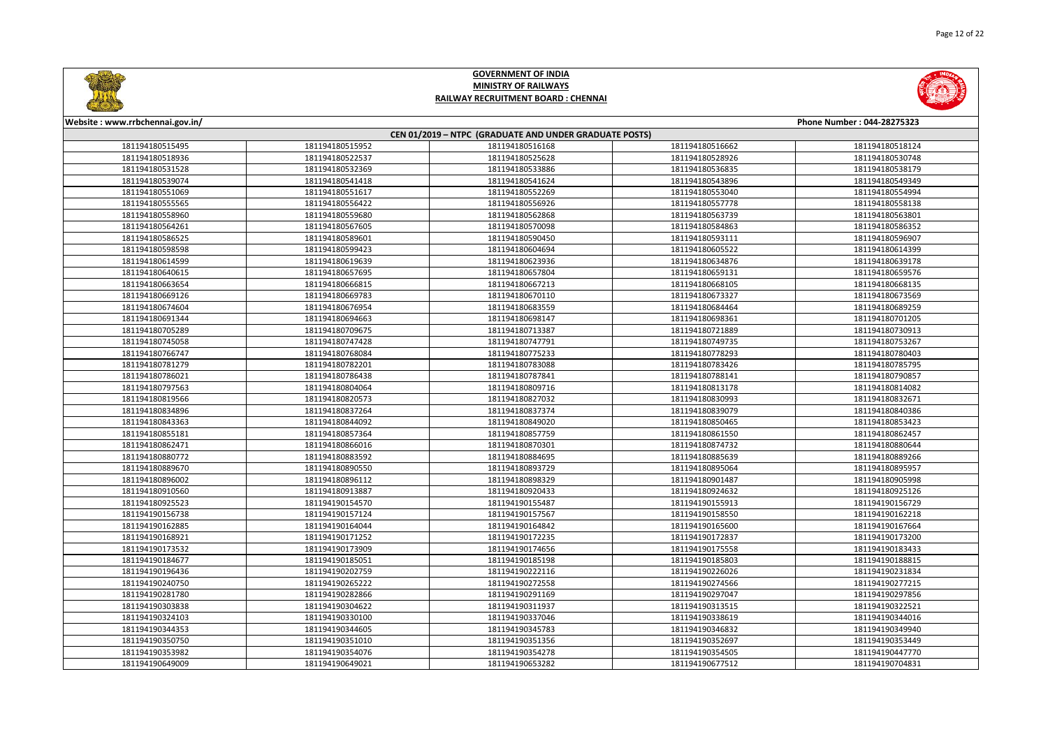



| Website: www.rrbchennai.gov.in/                        |                 |                 |                 | Phone Number: 044-28275323 |  |
|--------------------------------------------------------|-----------------|-----------------|-----------------|----------------------------|--|
| CEN 01/2019 - NTPC (GRADUATE AND UNDER GRADUATE POSTS) |                 |                 |                 |                            |  |
| 181194180515495                                        | 181194180515952 | 181194180516168 | 181194180516662 | 181194180518124            |  |
| 181194180518936                                        | 181194180522537 | 181194180525628 | 181194180528926 | 181194180530748            |  |
| 181194180531528                                        | 181194180532369 | 181194180533886 | 181194180536835 | 181194180538179            |  |
| 181194180539074                                        | 181194180541418 | 181194180541624 | 181194180543896 | 181194180549349            |  |
| 181194180551069                                        | 181194180551617 | 181194180552269 | 181194180553040 | 181194180554994            |  |
| 181194180555565                                        | 181194180556422 | 181194180556926 | 181194180557778 | 181194180558138            |  |
| 181194180558960                                        | 181194180559680 | 181194180562868 | 181194180563739 | 181194180563801            |  |
| 181194180564261                                        | 181194180567605 | 181194180570098 | 181194180584863 | 181194180586352            |  |
| 181194180586525                                        | 181194180589601 | 181194180590450 | 181194180593111 | 181194180596907            |  |
| 181194180598598                                        | 181194180599423 | 181194180604694 | 181194180605522 | 181194180614399            |  |
| 181194180614599                                        | 181194180619639 | 181194180623936 | 181194180634876 | 181194180639178            |  |
| 181194180640615                                        | 181194180657695 | 181194180657804 | 181194180659131 | 181194180659576            |  |
| 181194180663654                                        | 181194180666815 | 181194180667213 | 181194180668105 | 181194180668135            |  |
| 181194180669126                                        | 181194180669783 | 181194180670110 | 181194180673327 | 181194180673569            |  |
| 181194180674604                                        | 181194180676954 | 181194180683559 | 181194180684464 | 181194180689259            |  |
| 181194180691344                                        | 181194180694663 | 181194180698147 | 181194180698361 | 181194180701205            |  |
| 181194180705289                                        | 181194180709675 | 181194180713387 | 181194180721889 | 181194180730913            |  |
| 181194180745058                                        | 181194180747428 | 181194180747791 | 181194180749735 | 181194180753267            |  |
| 181194180766747                                        | 181194180768084 | 181194180775233 | 181194180778293 | 181194180780403            |  |
| 181194180781279                                        | 181194180782201 | 181194180783088 | 181194180783426 | 181194180785795            |  |
| 181194180786021                                        | 181194180786438 | 181194180787841 | 181194180788141 | 181194180790857            |  |
| 181194180797563                                        | 181194180804064 | 181194180809716 | 181194180813178 | 181194180814082            |  |
| 181194180819566                                        | 181194180820573 | 181194180827032 | 181194180830993 | 181194180832671            |  |
| 181194180834896                                        | 181194180837264 | 181194180837374 | 181194180839079 | 181194180840386            |  |
| 181194180843363                                        | 181194180844092 | 181194180849020 | 181194180850465 | 181194180853423            |  |
| 181194180855181                                        | 181194180857364 | 181194180857759 | 181194180861550 | 181194180862457            |  |
| 181194180862471                                        | 181194180866016 | 181194180870301 | 181194180874732 | 181194180880644            |  |
| 181194180880772                                        | 181194180883592 | 181194180884695 | 181194180885639 | 181194180889266            |  |
| 181194180889670                                        | 181194180890550 | 181194180893729 | 181194180895064 | 181194180895957            |  |
| 181194180896002                                        | 181194180896112 | 181194180898329 | 181194180901487 | 181194180905998            |  |
| 181194180910560                                        | 181194180913887 | 181194180920433 | 181194180924632 | 181194180925126            |  |
| 181194180925523                                        | 181194190154570 | 181194190155487 | 181194190155913 | 181194190156729            |  |
| 181194190156738                                        | 181194190157124 | 181194190157567 | 181194190158550 | 181194190162218            |  |
| 181194190162885                                        | 181194190164044 | 181194190164842 | 181194190165600 | 181194190167664            |  |
| 181194190168921                                        | 181194190171252 | 181194190172235 | 181194190172837 | 181194190173200            |  |
| 181194190173532                                        | 181194190173909 | 181194190174656 | 181194190175558 | 181194190183433            |  |
| 181194190184677                                        | 181194190185051 | 181194190185198 | 181194190185803 | 181194190188815            |  |
| 181194190196436                                        | 181194190202759 | 181194190222116 | 181194190226026 | 181194190231834            |  |
| 181194190240750                                        | 181194190265222 | 181194190272558 | 181194190274566 | 181194190277215            |  |
| 181194190281780                                        | 181194190282866 | 181194190291169 | 181194190297047 | 181194190297856            |  |
| 181194190303838                                        | 181194190304622 | 181194190311937 | 181194190313515 | 181194190322521            |  |
| 181194190324103                                        | 181194190330100 | 181194190337046 | 181194190338619 | 181194190344016            |  |
| 181194190344353                                        | 181194190344605 | 181194190345783 | 181194190346832 | 181194190349940            |  |
| 181194190350750                                        | 181194190351010 | 181194190351356 | 181194190352697 | 181194190353449            |  |
| 181194190353982                                        | 181194190354076 | 181194190354278 | 181194190354505 | 181194190447770            |  |
| 181194190649009                                        | 181194190649021 | 181194190653282 | 181194190677512 | 181194190704831            |  |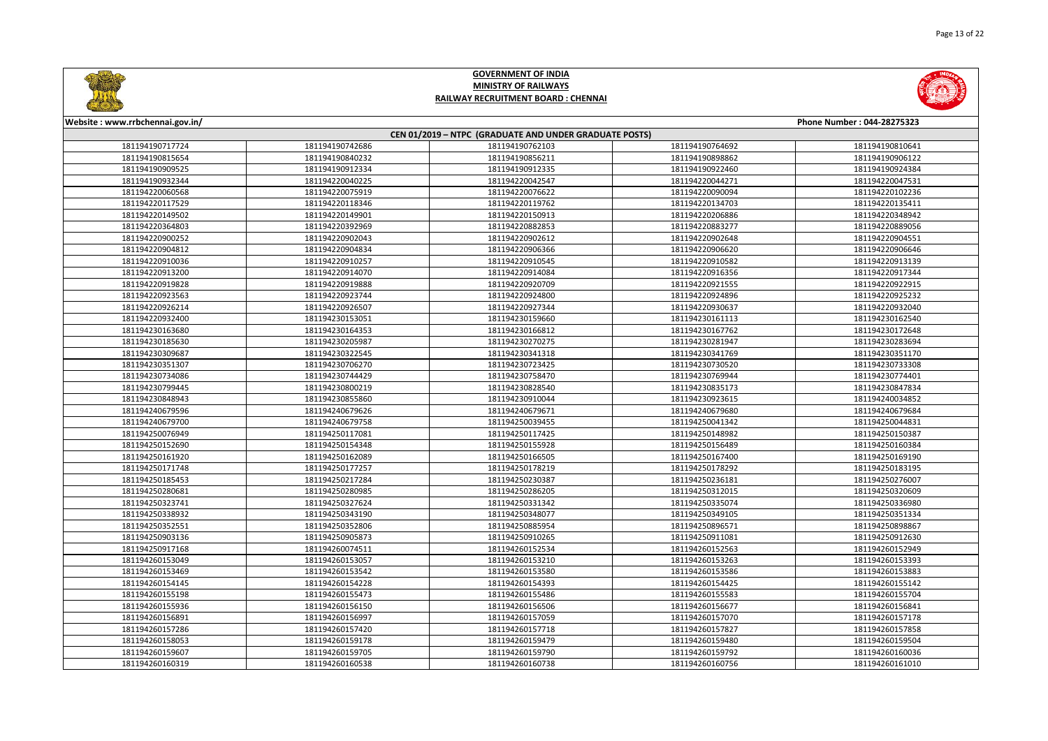



| Website: www.rrbchennai.gov.in/                        | Phone Number: 044-28275323 |                 |                 |                 |  |
|--------------------------------------------------------|----------------------------|-----------------|-----------------|-----------------|--|
| CEN 01/2019 - NTPC (GRADUATE AND UNDER GRADUATE POSTS) |                            |                 |                 |                 |  |
| 181194190717724                                        | 181194190742686            | 181194190762103 | 181194190764692 | 181194190810641 |  |
| 181194190815654                                        | 181194190840232            | 181194190856211 | 181194190898862 | 181194190906122 |  |
| 181194190909525                                        | 181194190912334            | 181194190912335 | 181194190922460 | 181194190924384 |  |
| 181194190932344                                        | 181194220040225            | 181194220042547 | 181194220044271 | 181194220047531 |  |
| 181194220060568                                        | 181194220075919            | 181194220076622 | 181194220090094 | 181194220102236 |  |
| 181194220117529                                        | 181194220118346            | 181194220119762 | 181194220134703 | 181194220135411 |  |
| 181194220149502                                        | 181194220149901            | 181194220150913 | 181194220206886 | 181194220348942 |  |
| 181194220364803                                        | 181194220392969            | 181194220882853 | 181194220883277 | 181194220889056 |  |
| 181194220900252                                        | 181194220902043            | 181194220902612 | 181194220902648 | 181194220904551 |  |
| 181194220904812                                        | 181194220904834            | 181194220906366 | 181194220906620 | 181194220906646 |  |
| 181194220910036                                        | 181194220910257            | 181194220910545 | 181194220910582 | 181194220913139 |  |
| 181194220913200                                        | 181194220914070            | 181194220914084 | 181194220916356 | 181194220917344 |  |
| 181194220919828                                        | 181194220919888            | 181194220920709 | 181194220921555 | 181194220922915 |  |
| 181194220923563                                        | 181194220923744            | 181194220924800 | 181194220924896 | 181194220925232 |  |
| 181194220926214                                        | 181194220926507            | 181194220927344 | 181194220930637 | 181194220932040 |  |
| 181194220932400                                        | 181194230153051            | 181194230159660 | 181194230161113 | 181194230162540 |  |
| 181194230163680                                        | 181194230164353            | 181194230166812 | 181194230167762 | 181194230172648 |  |
| 181194230185630                                        | 181194230205987            | 181194230270275 | 181194230281947 | 181194230283694 |  |
| 181194230309687                                        | 181194230322545            | 181194230341318 | 181194230341769 | 181194230351170 |  |
| 181194230351307                                        | 181194230706270            | 181194230723425 | 181194230730520 | 181194230733308 |  |
| 181194230734086                                        | 181194230744429            | 181194230758470 | 181194230769944 | 181194230774401 |  |
| 181194230799445                                        | 181194230800219            | 181194230828540 | 181194230835173 | 181194230847834 |  |
| 181194230848943                                        | 181194230855860            | 181194230910044 | 181194230923615 | 181194240034852 |  |
| 181194240679596                                        | 181194240679626            | 181194240679671 | 181194240679680 | 181194240679684 |  |
| 181194240679700                                        | 181194240679758            | 181194250039455 | 181194250041342 | 181194250044831 |  |
| 181194250076949                                        | 181194250117081            | 181194250117425 | 181194250148982 | 181194250150387 |  |
| 181194250152690                                        | 181194250154348            | 181194250155928 | 181194250156489 | 181194250160384 |  |
| 181194250161920                                        | 181194250162089            | 181194250166505 | 181194250167400 | 181194250169190 |  |
| 181194250171748                                        | 181194250177257            | 181194250178219 | 181194250178292 | 181194250183195 |  |
| 181194250185453                                        | 181194250217284            | 181194250230387 | 181194250236181 | 181194250276007 |  |
| 181194250280681                                        | 181194250280985            | 181194250286205 | 181194250312015 | 181194250320609 |  |
| 181194250323741                                        | 181194250327624            | 181194250331342 | 181194250335074 | 181194250336980 |  |
| 181194250338932                                        | 181194250343190            | 181194250348077 | 181194250349105 | 181194250351334 |  |
| 181194250352551                                        | 181194250352806            | 181194250885954 | 181194250896571 | 181194250898867 |  |
| 181194250903136                                        | 181194250905873            | 181194250910265 | 181194250911081 | 181194250912630 |  |
| 181194250917168                                        | 181194260074511            | 181194260152534 | 181194260152563 | 181194260152949 |  |
| 181194260153049                                        | 181194260153057            | 181194260153210 | 181194260153263 | 181194260153393 |  |
| 181194260153469                                        | 181194260153542            | 181194260153580 | 181194260153586 | 181194260153883 |  |
| 181194260154145                                        | 181194260154228            | 181194260154393 | 181194260154425 | 181194260155142 |  |
| 181194260155198                                        | 181194260155473            | 181194260155486 | 181194260155583 | 181194260155704 |  |
| 181194260155936                                        | 181194260156150            | 181194260156506 | 181194260156677 | 181194260156841 |  |
| 181194260156891                                        | 181194260156997            | 181194260157059 | 181194260157070 | 181194260157178 |  |
| 181194260157286                                        | 181194260157420            | 181194260157718 | 181194260157827 | 181194260157858 |  |
| 181194260158053                                        | 181194260159178            | 181194260159479 | 181194260159480 | 181194260159504 |  |
| 181194260159607                                        | 181194260159705            | 181194260159790 | 181194260159792 | 181194260160036 |  |
| 181194260160319                                        | 181194260160538            | 181194260160738 | 181194260160756 | 181194260161010 |  |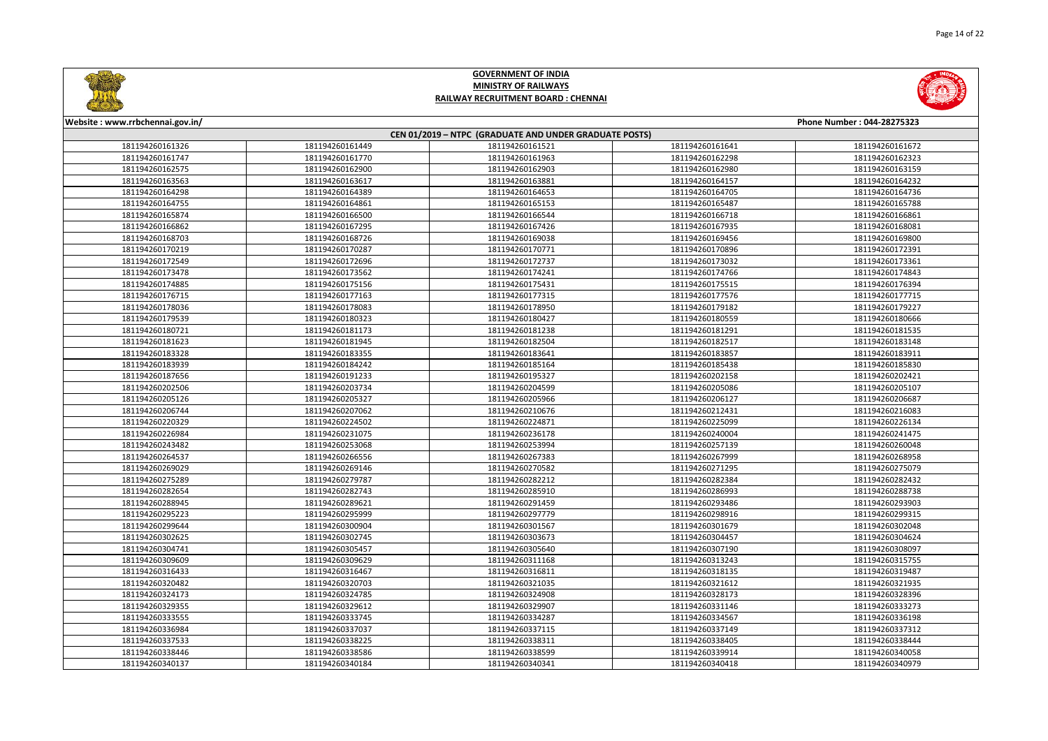



| Website: www.rrbchennai.gov.in/ |                 |                                                        |                 | Phone Number: 044-28275323 |
|---------------------------------|-----------------|--------------------------------------------------------|-----------------|----------------------------|
|                                 |                 | CEN 01/2019 - NTPC (GRADUATE AND UNDER GRADUATE POSTS) |                 |                            |
| 181194260161326                 | 181194260161449 | 181194260161521                                        | 181194260161641 | 181194260161672            |
| 181194260161747                 | 181194260161770 | 181194260161963                                        | 181194260162298 | 181194260162323            |
| 181194260162575                 | 181194260162900 | 181194260162903                                        | 181194260162980 | 181194260163159            |
| 181194260163563                 | 181194260163617 | 181194260163881                                        | 181194260164157 | 181194260164232            |
| 181194260164298                 | 181194260164389 | 181194260164653                                        | 181194260164705 | 181194260164736            |
| 181194260164755                 | 181194260164861 | 181194260165153                                        | 181194260165487 | 181194260165788            |
| 181194260165874                 | 181194260166500 | 181194260166544                                        | 181194260166718 | 181194260166861            |
| 181194260166862                 | 181194260167295 | 181194260167426                                        | 181194260167935 | 181194260168081            |
| 181194260168703                 | 181194260168726 | 181194260169038                                        | 181194260169456 | 181194260169800            |
| 181194260170219                 | 181194260170287 | 181194260170771                                        | 181194260170896 | 181194260172391            |
| 181194260172549                 | 181194260172696 | 181194260172737                                        | 181194260173032 | 181194260173361            |
| 181194260173478                 | 181194260173562 | 181194260174241                                        | 181194260174766 | 181194260174843            |
| 181194260174885                 | 181194260175156 | 181194260175431                                        | 181194260175515 | 181194260176394            |
| 181194260176715                 | 181194260177163 | 181194260177315                                        | 181194260177576 | 181194260177715            |
| 181194260178036                 | 181194260178083 | 181194260178950                                        | 181194260179182 | 181194260179227            |
| 181194260179539                 | 181194260180323 | 181194260180427                                        | 181194260180559 | 181194260180666            |
| 181194260180721                 | 181194260181173 | 181194260181238                                        | 181194260181291 | 181194260181535            |
| 181194260181623                 | 181194260181945 | 181194260182504                                        | 181194260182517 | 181194260183148            |
| 181194260183328                 | 181194260183355 | 181194260183641                                        | 181194260183857 | 181194260183911            |
|                                 |                 |                                                        |                 |                            |
| 181194260183939                 | 181194260184242 | 181194260185164                                        | 181194260185438 | 181194260185830            |
| 181194260187656                 | 181194260191233 | 181194260195327                                        | 181194260202158 | 181194260202421            |
| 181194260202506                 | 181194260203734 | 181194260204599                                        | 181194260205086 | 181194260205107            |
| 181194260205126                 | 181194260205327 | 181194260205966                                        | 181194260206127 | 181194260206687            |
| 181194260206744                 | 181194260207062 | 181194260210676                                        | 181194260212431 | 181194260216083            |
| 181194260220329                 | 181194260224502 | 181194260224871                                        | 181194260225099 | 181194260226134            |
| 181194260226984                 | 181194260231075 | 181194260236178                                        | 181194260240004 | 181194260241475            |
| 181194260243482                 | 181194260253068 | 181194260253994                                        | 181194260257139 | 181194260260048            |
| 181194260264537                 | 181194260266556 | 181194260267383                                        | 181194260267999 | 181194260268958            |
| 181194260269029                 | 181194260269146 | 181194260270582                                        | 181194260271295 | 181194260275079            |
| 181194260275289                 | 181194260279787 | 181194260282212                                        | 181194260282384 | 181194260282432            |
| 181194260282654                 | 181194260282743 | 181194260285910                                        | 181194260286993 | 181194260288738            |
| 181194260288945                 | 181194260289621 | 181194260291459                                        | 181194260293486 | 181194260293903            |
| 181194260295223                 | 181194260295999 | 181194260297779                                        | 181194260298916 | 181194260299315            |
| 181194260299644                 | 181194260300904 | 181194260301567                                        | 181194260301679 | 181194260302048            |
| 181194260302625                 | 181194260302745 | 181194260303673                                        | 181194260304457 | 181194260304624            |
| 181194260304741                 | 181194260305457 | 181194260305640                                        | 181194260307190 | 181194260308097            |
| 181194260309609                 | 181194260309629 | 181194260311168                                        | 181194260313243 | 181194260315755            |
| 181194260316433                 | 181194260316467 | 181194260316811                                        | 181194260318135 | 181194260319487            |
| 181194260320482                 | 181194260320703 | 181194260321035                                        | 181194260321612 | 181194260321935            |
| 181194260324173                 | 181194260324785 | 181194260324908                                        | 181194260328173 | 181194260328396            |
| 181194260329355                 | 181194260329612 | 181194260329907                                        | 181194260331146 | 181194260333273            |
| 181194260333555                 | 181194260333745 | 181194260334287                                        | 181194260334567 | 181194260336198            |
| 181194260336984                 | 181194260337037 | 181194260337115                                        | 181194260337149 | 181194260337312            |
| 181194260337533                 | 181194260338225 | 181194260338311                                        | 181194260338405 | 181194260338444            |
| 181194260338446                 | 181194260338586 | 181194260338599                                        | 181194260339914 | 181194260340058            |
| 181194260340137                 | 181194260340184 | 181194260340341                                        | 181194260340418 | 181194260340979            |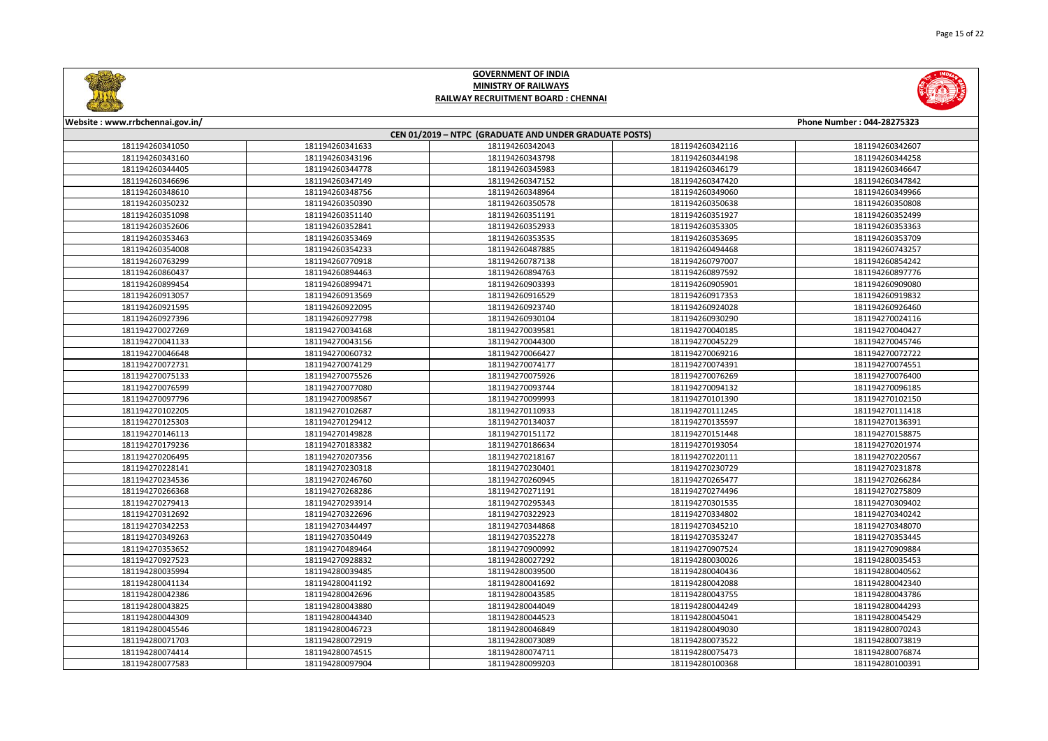



| Website: www.rrbchennai.gov.in/<br>Phone Number: 044-28275323 |                 |                 |                 |                 |  |
|---------------------------------------------------------------|-----------------|-----------------|-----------------|-----------------|--|
| CEN 01/2019 - NTPC (GRADUATE AND UNDER GRADUATE POSTS)        |                 |                 |                 |                 |  |
| 181194260341050                                               | 181194260341633 | 181194260342043 | 181194260342116 | 181194260342607 |  |
| 181194260343160                                               | 181194260343196 | 181194260343798 | 181194260344198 | 181194260344258 |  |
| 181194260344405                                               | 181194260344778 | 181194260345983 | 181194260346179 | 181194260346647 |  |
| 181194260346696                                               | 181194260347149 | 181194260347152 | 181194260347420 | 181194260347842 |  |
| 181194260348610                                               | 181194260348756 | 181194260348964 | 181194260349060 | 181194260349966 |  |
| 181194260350232                                               | 181194260350390 | 181194260350578 | 181194260350638 | 181194260350808 |  |
| 181194260351098                                               | 181194260351140 | 181194260351191 | 181194260351927 | 181194260352499 |  |
| 181194260352606                                               | 181194260352841 | 181194260352933 | 181194260353305 | 181194260353363 |  |
| 181194260353463                                               | 181194260353469 | 181194260353535 | 181194260353695 | 181194260353709 |  |
| 181194260354008                                               | 181194260354233 | 181194260487885 | 181194260494468 | 181194260743257 |  |
| 181194260763299                                               | 181194260770918 | 181194260787138 | 181194260797007 | 181194260854242 |  |
| 181194260860437                                               | 181194260894463 | 181194260894763 | 181194260897592 | 181194260897776 |  |
| 181194260899454                                               | 181194260899471 | 181194260903393 | 181194260905901 | 181194260909080 |  |
| 181194260913057                                               | 181194260913569 | 181194260916529 | 181194260917353 | 181194260919832 |  |
| 181194260921595                                               | 181194260922095 | 181194260923740 | 181194260924028 | 181194260926460 |  |
| 181194260927396                                               | 181194260927798 | 181194260930104 | 181194260930290 | 181194270024116 |  |
| 181194270027269                                               | 181194270034168 | 181194270039581 | 181194270040185 | 181194270040427 |  |
| 181194270041133                                               | 181194270043156 | 181194270044300 | 181194270045229 | 181194270045746 |  |
| 181194270046648                                               | 181194270060732 | 181194270066427 | 181194270069216 | 181194270072722 |  |
| 181194270072731                                               | 181194270074129 | 181194270074177 | 181194270074391 | 181194270074551 |  |
| 181194270075133                                               | 181194270075526 | 181194270075926 | 181194270076269 | 181194270076400 |  |
| 181194270076599                                               | 181194270077080 | 181194270093744 | 181194270094132 | 181194270096185 |  |
| 181194270097796                                               | 181194270098567 | 181194270099993 | 181194270101390 | 181194270102150 |  |
| 181194270102205                                               | 181194270102687 | 181194270110933 | 181194270111245 | 181194270111418 |  |
| 181194270125303                                               | 181194270129412 | 181194270134037 | 181194270135597 | 181194270136391 |  |
| 181194270146113                                               | 181194270149828 | 181194270151172 | 181194270151448 | 181194270158875 |  |
| 181194270179236                                               | 181194270183382 | 181194270186634 | 181194270193054 | 181194270201974 |  |
| 181194270206495                                               | 181194270207356 | 181194270218167 | 181194270220111 | 181194270220567 |  |
| 181194270228141                                               | 181194270230318 | 181194270230401 | 181194270230729 | 181194270231878 |  |
| 181194270234536                                               | 181194270246760 | 181194270260945 | 181194270265477 | 181194270266284 |  |
| 181194270266368                                               | 181194270268286 | 181194270271191 | 181194270274496 | 181194270275809 |  |
| 181194270279413                                               | 181194270293914 | 181194270295343 | 181194270301535 | 181194270309402 |  |
| 181194270312692                                               | 181194270322696 | 181194270322923 | 181194270334802 | 181194270340242 |  |
| 181194270342253                                               | 181194270344497 | 181194270344868 | 181194270345210 | 181194270348070 |  |
| 181194270349263                                               | 181194270350449 | 181194270352278 | 181194270353247 | 181194270353445 |  |
| 181194270353652                                               | 181194270489464 | 181194270900992 | 181194270907524 | 181194270909884 |  |
| 181194270927523                                               | 181194270928832 | 181194280027292 | 181194280030026 | 181194280035453 |  |
| 181194280035994                                               | 181194280039485 | 181194280039500 | 181194280040436 | 181194280040562 |  |
| 181194280041134                                               | 181194280041192 | 181194280041692 | 181194280042088 | 181194280042340 |  |
| 181194280042386                                               | 181194280042696 | 181194280043585 | 181194280043755 | 181194280043786 |  |
| 181194280043825                                               | 181194280043880 | 181194280044049 | 181194280044249 | 181194280044293 |  |
| 181194280044309                                               | 181194280044340 | 181194280044523 | 181194280045041 | 181194280045429 |  |
| 181194280045546                                               | 181194280046723 | 181194280046849 | 181194280049030 | 181194280070243 |  |
| 181194280071703                                               | 181194280072919 | 181194280073089 | 181194280073522 | 181194280073819 |  |
| 181194280074414                                               | 181194280074515 | 181194280074711 | 181194280075473 | 181194280076874 |  |
| 181194280077583                                               | 181194280097904 | 181194280099203 | 181194280100368 | 181194280100391 |  |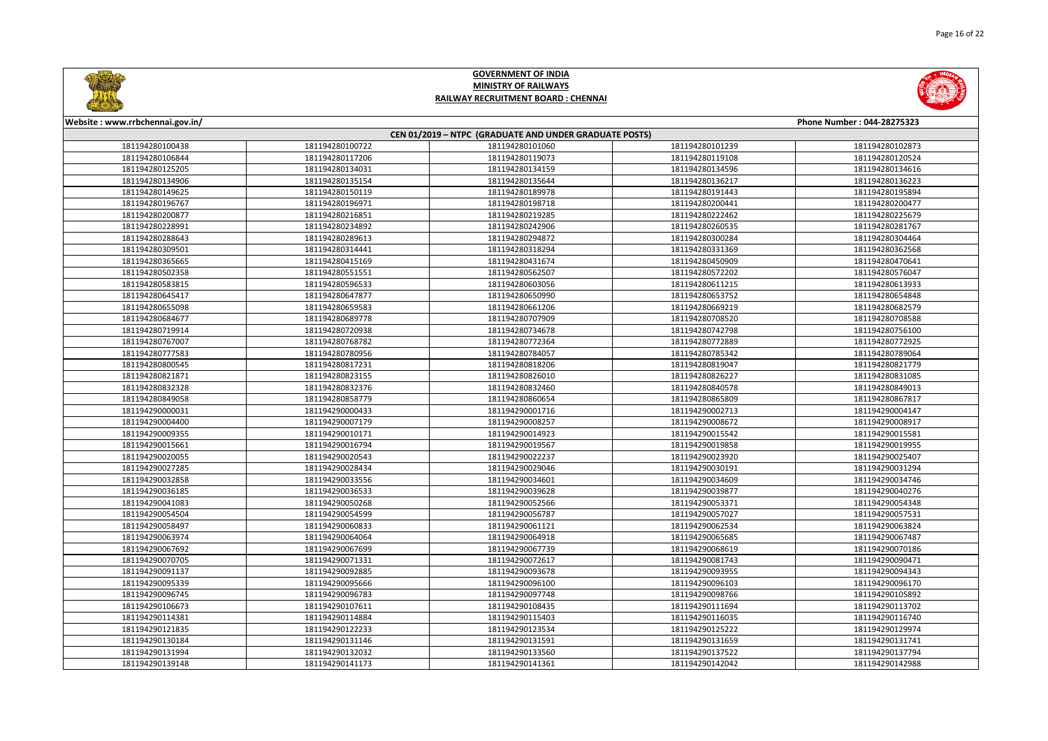



| Website: www.rrbchennai.gov.in/                        |                 |                 |                 | Phone Number: 044-28275323 |
|--------------------------------------------------------|-----------------|-----------------|-----------------|----------------------------|
| CEN 01/2019 - NTPC (GRADUATE AND UNDER GRADUATE POSTS) |                 |                 |                 |                            |
| 181194280100438                                        | 181194280100722 | 181194280101060 | 181194280101239 | 181194280102873            |
| 181194280106844                                        | 181194280117206 | 181194280119073 | 181194280119108 | 181194280120524            |
| 181194280125205                                        | 181194280134031 | 181194280134159 | 181194280134596 | 181194280134616            |
| 181194280134906                                        | 181194280135154 | 181194280135644 | 181194280136217 | 181194280136223            |
| 181194280149625                                        | 181194280150119 | 181194280189978 | 181194280191443 | 181194280195894            |
| 181194280196767                                        | 181194280196971 | 181194280198718 | 181194280200441 | 181194280200477            |
| 181194280200877                                        | 181194280216851 | 181194280219285 | 181194280222462 | 181194280225679            |
| 181194280228991                                        | 181194280234892 | 181194280242906 | 181194280260535 | 181194280281767            |
| 181194280288643                                        | 181194280289613 | 181194280294872 | 181194280300284 | 181194280304464            |
| 181194280309501                                        | 181194280314441 | 181194280318294 | 181194280331369 | 181194280362568            |
| 181194280365665                                        | 181194280415169 | 181194280431674 | 181194280450909 | 181194280470641            |
| 181194280502358                                        | 181194280551551 | 181194280562507 | 181194280572202 | 181194280576047            |
| 181194280583815                                        | 181194280596533 | 181194280603056 | 181194280611215 | 181194280613933            |
| 181194280645417                                        | 181194280647877 | 181194280650990 | 181194280653752 | 181194280654848            |
| 181194280655098                                        | 181194280659583 | 181194280661206 | 181194280669219 | 181194280682579            |
| 181194280684677                                        | 181194280689778 | 181194280707909 | 181194280708520 | 181194280708588            |
| 181194280719914                                        | 181194280720938 | 181194280734678 | 181194280742798 | 181194280756100            |
| 181194280767007                                        | 181194280768782 | 181194280772364 | 181194280772889 | 181194280772925            |
| 181194280777583                                        | 181194280780956 | 181194280784057 | 181194280785342 | 181194280789064            |
| 181194280800545                                        | 181194280817231 | 181194280818206 | 181194280819047 | 181194280821779            |
| 181194280821871                                        | 181194280823155 | 181194280826010 | 181194280826227 | 181194280831085            |
| 181194280832328                                        | 181194280832376 | 181194280832460 | 181194280840578 | 181194280849013            |
| 181194280849058                                        | 181194280858779 | 181194280860654 | 181194280865809 | 181194280867817            |
| 181194290000031                                        | 181194290000433 | 181194290001716 | 181194290002713 | 181194290004147            |
| 181194290004400                                        | 181194290007179 | 181194290008257 | 181194290008672 | 181194290008917            |
| 181194290009355                                        | 181194290010171 | 181194290014923 | 181194290015542 | 181194290015581            |
| 181194290015661                                        | 181194290016794 | 181194290019567 | 181194290019858 | 181194290019955            |
| 181194290020055                                        | 181194290020543 | 181194290022237 | 181194290023920 | 181194290025407            |
| 181194290027285                                        | 181194290028434 | 181194290029046 | 181194290030191 | 181194290031294            |
| 181194290032858                                        | 181194290033556 | 181194290034601 | 181194290034609 | 181194290034746            |
| 181194290036185                                        | 181194290036533 | 181194290039628 | 181194290039877 | 181194290040276            |
| 181194290041083                                        | 181194290050268 | 181194290052566 | 181194290053371 | 181194290054348            |
| 181194290054504                                        | 181194290054599 | 181194290056787 | 181194290057027 | 181194290057531            |
| 181194290058497                                        | 181194290060833 | 181194290061121 | 181194290062534 | 181194290063824            |
| 181194290063974                                        | 181194290064064 | 181194290064918 | 181194290065685 | 181194290067487            |
| 181194290067692                                        | 181194290067699 | 181194290067739 | 181194290068619 | 181194290070186            |
| 181194290070705                                        | 181194290071331 | 181194290072617 | 181194290081743 | 181194290090471            |
| 181194290091137                                        | 181194290092885 | 181194290093678 | 181194290093955 | 181194290094343            |
| 181194290095339                                        | 181194290095666 | 181194290096100 | 181194290096103 | 181194290096170            |
| 181194290096745                                        | 181194290096783 | 181194290097748 | 181194290098766 | 181194290105892            |
| 181194290106673                                        | 181194290107611 | 181194290108435 | 181194290111694 | 181194290113702            |
| 181194290114381                                        | 181194290114884 | 181194290115403 | 181194290116035 | 181194290116740            |
| 181194290121835                                        | 181194290122233 | 181194290123534 | 181194290125222 | 181194290129974            |
| 181194290130184                                        | 181194290131146 | 181194290131591 | 181194290131659 | 181194290131741            |
| 181194290131994                                        | 181194290132032 | 181194290133560 | 181194290137522 | 181194290137794            |
| 181194290139148                                        | 181194290141173 | 181194290141361 | 181194290142042 | 181194290142988            |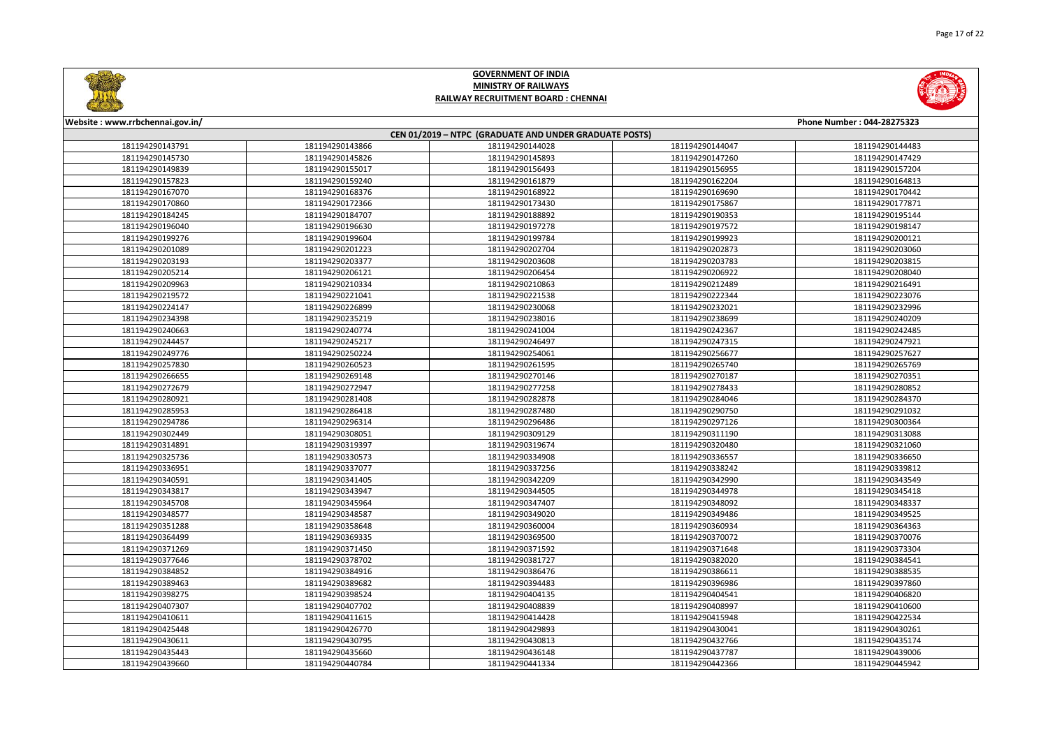



| Website: www.rrbchennai.gov.in/                        |                 |                 |                 | Phone Number: 044-28275323 |  |
|--------------------------------------------------------|-----------------|-----------------|-----------------|----------------------------|--|
| CEN 01/2019 - NTPC (GRADUATE AND UNDER GRADUATE POSTS) |                 |                 |                 |                            |  |
| 181194290143791                                        | 181194290143866 | 181194290144028 | 181194290144047 | 181194290144483            |  |
| 181194290145730                                        | 181194290145826 | 181194290145893 | 181194290147260 | 181194290147429            |  |
| 181194290149839                                        | 181194290155017 | 181194290156493 | 181194290156955 | 181194290157204            |  |
| 181194290157823                                        | 181194290159240 | 181194290161879 | 181194290162204 | 181194290164813            |  |
| 181194290167070                                        | 181194290168376 | 181194290168922 | 181194290169690 | 181194290170442            |  |
| 181194290170860                                        | 181194290172366 | 181194290173430 | 181194290175867 | 181194290177871            |  |
| 181194290184245                                        | 181194290184707 | 181194290188892 | 181194290190353 | 181194290195144            |  |
| 181194290196040                                        | 181194290196630 | 181194290197278 | 181194290197572 | 181194290198147            |  |
| 181194290199276                                        | 181194290199604 | 181194290199784 | 181194290199923 | 181194290200121            |  |
| 181194290201089                                        | 181194290201223 | 181194290202704 | 181194290202873 | 181194290203060            |  |
| 181194290203193                                        | 181194290203377 | 181194290203608 | 181194290203783 | 181194290203815            |  |
| 181194290205214                                        | 181194290206121 | 181194290206454 | 181194290206922 | 181194290208040            |  |
| 181194290209963                                        | 181194290210334 | 181194290210863 | 181194290212489 | 181194290216491            |  |
| 181194290219572                                        | 181194290221041 | 181194290221538 | 181194290222344 | 181194290223076            |  |
| 181194290224147                                        | 181194290226899 | 181194290230068 | 181194290232021 | 181194290232996            |  |
| 181194290234398                                        | 181194290235219 | 181194290238016 | 181194290238699 | 181194290240209            |  |
| 181194290240663                                        | 181194290240774 | 181194290241004 | 181194290242367 | 181194290242485            |  |
| 181194290244457                                        | 181194290245217 | 181194290246497 | 181194290247315 | 181194290247921            |  |
| 181194290249776                                        | 181194290250224 | 181194290254061 | 181194290256677 | 181194290257627            |  |
| 181194290257830                                        | 181194290260523 | 181194290261595 | 181194290265740 | 181194290265769            |  |
| 181194290266655                                        | 181194290269148 | 181194290270146 | 181194290270187 | 181194290270351            |  |
| 181194290272679                                        | 181194290272947 | 181194290277258 | 181194290278433 | 181194290280852            |  |
| 181194290280921                                        | 181194290281408 | 181194290282878 | 181194290284046 | 181194290284370            |  |
| 181194290285953                                        | 181194290286418 | 181194290287480 | 181194290290750 | 181194290291032            |  |
| 181194290294786                                        | 181194290296314 | 181194290296486 | 181194290297126 | 181194290300364            |  |
| 181194290302449                                        | 181194290308051 | 181194290309129 | 181194290311190 | 181194290313088            |  |
| 181194290314891                                        | 181194290319397 | 181194290319674 | 181194290320480 | 181194290321060            |  |
| 181194290325736                                        | 181194290330573 | 181194290334908 | 181194290336557 | 181194290336650            |  |
| 181194290336951                                        | 181194290337077 | 181194290337256 | 181194290338242 | 181194290339812            |  |
| 181194290340591                                        | 181194290341405 | 181194290342209 | 181194290342990 | 181194290343549            |  |
| 181194290343817                                        | 181194290343947 | 181194290344505 | 181194290344978 | 181194290345418            |  |
| 181194290345708                                        | 181194290345964 | 181194290347407 | 181194290348092 | 181194290348337            |  |
| 181194290348577                                        | 181194290348587 | 181194290349020 | 181194290349486 | 181194290349525            |  |
| 181194290351288                                        | 181194290358648 | 181194290360004 | 181194290360934 | 181194290364363            |  |
| 181194290364499                                        | 181194290369335 | 181194290369500 | 181194290370072 | 181194290370076            |  |
| 181194290371269                                        | 181194290371450 | 181194290371592 | 181194290371648 | 181194290373304            |  |
| 181194290377646                                        | 181194290378702 | 181194290381727 | 181194290382020 | 181194290384541            |  |
| 181194290384852                                        | 181194290384916 | 181194290386476 | 181194290386611 | 181194290388535            |  |
| 181194290389463                                        | 181194290389682 | 181194290394483 | 181194290396986 | 181194290397860            |  |
| 181194290398275                                        | 181194290398524 | 181194290404135 | 181194290404541 | 181194290406820            |  |
| 181194290407307                                        | 181194290407702 | 181194290408839 | 181194290408997 | 181194290410600            |  |
| 181194290410611                                        | 181194290411615 | 181194290414428 | 181194290415948 | 181194290422534            |  |
| 181194290425448                                        | 181194290426770 | 181194290429893 | 181194290430041 | 181194290430261            |  |
| 181194290430611                                        | 181194290430795 | 181194290430813 | 181194290432766 | 181194290435174            |  |
| 181194290435443                                        | 181194290435660 | 181194290436148 | 181194290437787 | 181194290439006            |  |
| 181194290439660                                        | 181194290440784 | 181194290441334 | 181194290442366 | 181194290445942            |  |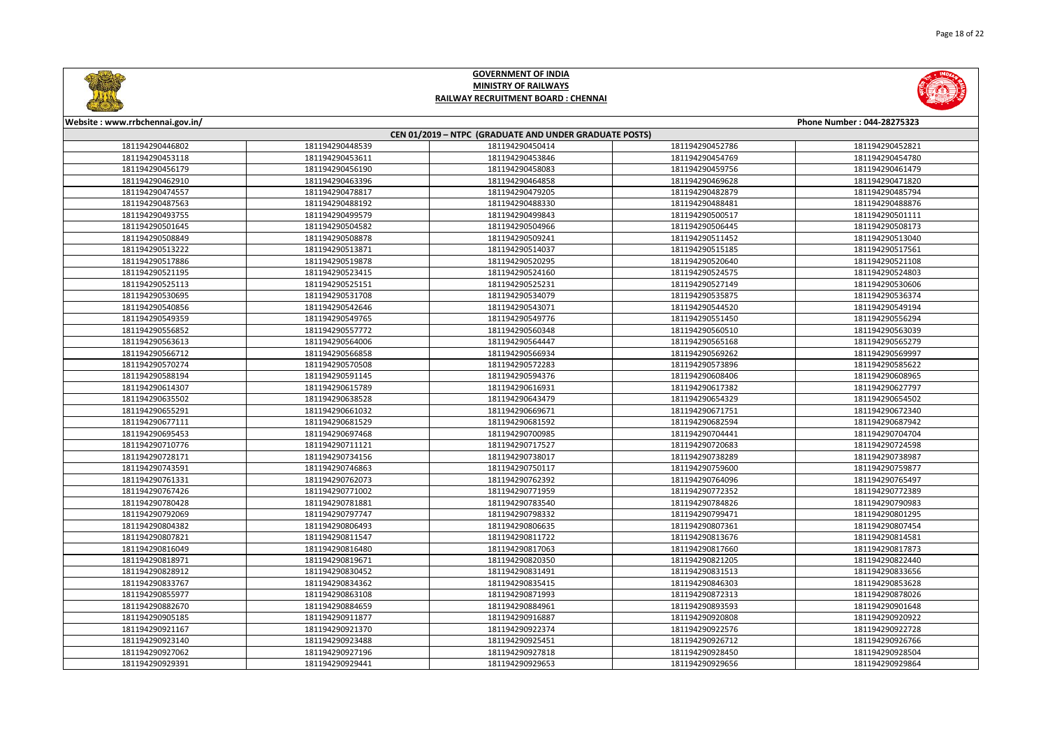

**Website : www.rrbchennai.gov.in/ Phone Number : 044-28275323**



## **CEN 01/2019 – NTPC (GRADUATE AND UNDER GRADUATE POSTS)** 181194290448539 181194290450414 181194290452786 181194290452821 181194290453611 181194290453846 181194290454769 181194290454780 181194290456190 181194290458083 181194290459756 181194290461479 181194290463396 181194290464858 181194290469628 181194290471820 181194290478817 181194290479205 181194290482879 181194290485794 181194290488192 181194290488330 181194290488481 181194290488876 181194290499579 181194290499843 181194290500517 181194290501111 181194290504582 181194290504966 181194290506445 181194290508173 181194290508878 181194290509241 181194290511452 181194290513040 181194290513871 181194290514037 181194290515185 181194290517561 181194290519878 181194290520295 181194290520640 181194290521108 181194290523415 181194290524160 181194290524575 181194290524803 181194290525151 181194290525231 181194290527149 181194290530606 181194290531708 181194290534079 181194290535875 181194290536374 181194290542646 181194290543071 181194290544520 181194290549194 181194290549765 181194290549776 181194290551450 181194290556294 181194290557772 181194290560348 181194290560510 181194290563039 181194290564006 181194290564447 181194290565168 181194290565279 181194290566858 181194290566934 181194290569262 181194290569997 181194290570508 181194290572283 181194290573896 181194290585622 181194290591145 181194290594376 181194290608406 181194290608965 181194290615789 181194290616931 181194290617382 181194290627797 181194290638528 181194290643479 181194290654329 181194290654502 181194290661032 181194290669671 181194290671751 181194290672340 181194290681529 181194290681592 181194290682594 181194290687942 181194290697468 181194290700985 181194290704441 181194290704704 181194290711121 181194290717527 181194290720683 181194290724598 181194290728171 | 181194290734156 | 181194290738017 | 181194290738017 | 181194290738289 | 181194290738289 181194290746863 181194290750117 181194290759600 181194290759877 181194290762073 181194290762392 181194290764096 181194290765497 181194290771002 181194290771959 181194290772352 181194290772389 181194290781881 181194290783540 181194290784826 181194290790983 181194290797747 181194290798332 181194290799471 181194290801295 181194290806493 181194290806635 181194290807361 181194290807454 181194290811547 181194290811722 181194290813676 181194290814581 181194290816480 181194290817063 181194290817660 181194290817873 181194290819671 181194290820350 181194290821205 181194290822440 181194290830452 181194290831491 181194290831513 181194290833656 181194290834362 181194290835415 181194290846303 181194290853628 181194290863108 181194290871993 181194290872313 181194290878026 181194290884659 181194290884961 181194290893593 181194290901648 181194290911877 181194290916887 181194290920808 181194290920922 181194290921370 181194290922374 181194290922576 181194290922728 181194290923488 181194290925451 181194290926712 181194290926766 181194290927196 181194290927818 181194290928450 181194290928504 181194290929441 181194290929653 181194290929656 181194290929864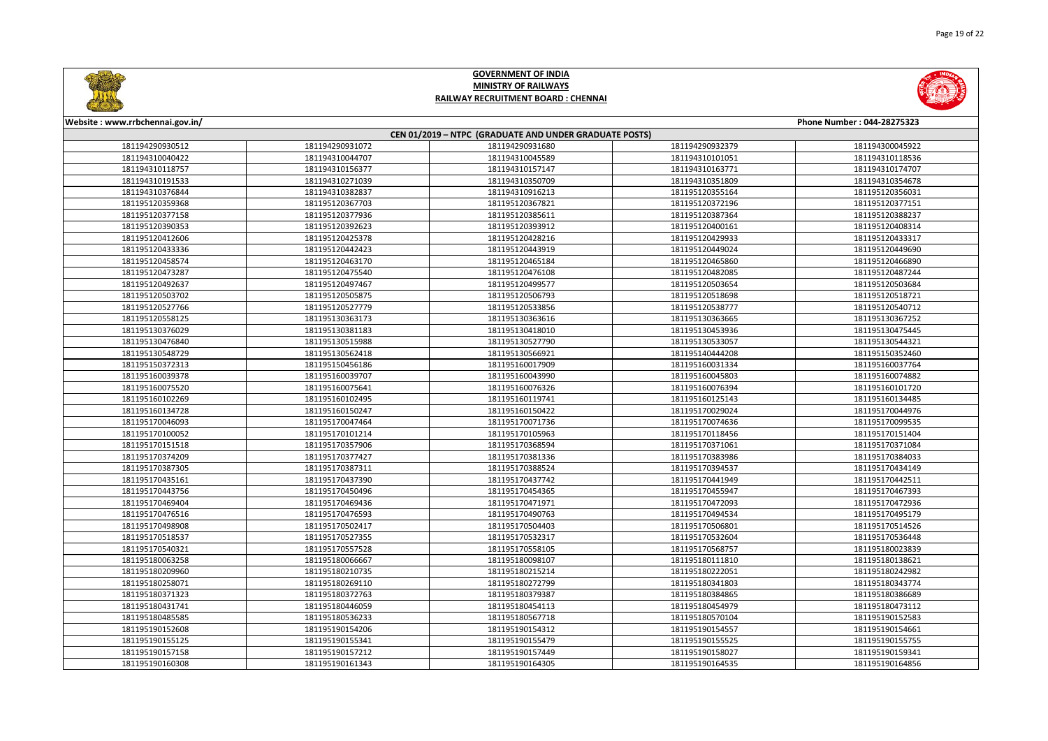



| Website: www.rrbchennai.gov.in/<br>Phone Number: 044-28275323 |                 |                 |                 |                 |  |
|---------------------------------------------------------------|-----------------|-----------------|-----------------|-----------------|--|
| CEN 01/2019 - NTPC (GRADUATE AND UNDER GRADUATE POSTS)        |                 |                 |                 |                 |  |
| 181194290930512                                               | 181194290931072 | 181194290931680 | 181194290932379 | 181194300045922 |  |
| 181194310040422                                               | 181194310044707 | 181194310045589 | 181194310101051 | 181194310118536 |  |
| 181194310118757                                               | 181194310156377 | 181194310157147 | 181194310163771 | 181194310174707 |  |
| 181194310191533                                               | 181194310271039 | 181194310350709 | 181194310351809 | 181194310354678 |  |
| 181194310376844                                               | 181194310382837 | 181194310916213 | 181195120355164 | 181195120356031 |  |
| 181195120359368                                               | 181195120367703 | 181195120367821 | 181195120372196 | 181195120377151 |  |
| 181195120377158                                               | 181195120377936 | 181195120385611 | 181195120387364 | 181195120388237 |  |
| 181195120390353                                               | 181195120392623 | 181195120393912 | 181195120400161 | 181195120408314 |  |
| 181195120412606                                               | 181195120425378 | 181195120428216 | 181195120429933 | 181195120433317 |  |
| 181195120433336                                               | 181195120442423 | 181195120443919 | 181195120449024 | 181195120449690 |  |
| 181195120458574                                               | 181195120463170 | 181195120465184 | 181195120465860 | 181195120466890 |  |
| 181195120473287                                               | 181195120475540 | 181195120476108 | 181195120482085 | 181195120487244 |  |
| 181195120492637                                               | 181195120497467 | 181195120499577 | 181195120503654 | 181195120503684 |  |
| 181195120503702                                               | 181195120505875 | 181195120506793 | 181195120518698 | 181195120518721 |  |
| 181195120527766                                               | 181195120527779 | 181195120533856 | 181195120538777 | 181195120540712 |  |
| 181195120558125                                               | 181195130363173 | 181195130363616 | 181195130363665 | 181195130367252 |  |
| 181195130376029                                               | 181195130381183 | 181195130418010 | 181195130453936 | 181195130475445 |  |
| 181195130476840                                               | 181195130515988 | 181195130527790 | 181195130533057 | 181195130544321 |  |
| 181195130548729                                               | 181195130562418 | 181195130566921 | 181195140444208 | 181195150352460 |  |
| 181195150372313                                               | 181195150456186 | 181195160017909 | 181195160031334 | 181195160037764 |  |
| 181195160039378                                               | 181195160039707 | 181195160043990 | 181195160045803 | 181195160074882 |  |
| 181195160075520                                               | 181195160075641 | 181195160076326 | 181195160076394 | 181195160101720 |  |
| 181195160102269                                               | 181195160102495 | 181195160119741 | 181195160125143 | 181195160134485 |  |
| 181195160134728                                               | 181195160150247 | 181195160150422 | 181195170029024 | 181195170044976 |  |
| 181195170046093                                               | 181195170047464 | 181195170071736 | 181195170074636 | 181195170099535 |  |
| 181195170100052                                               | 181195170101214 | 181195170105963 | 181195170118456 | 181195170151404 |  |
| 181195170151518                                               | 181195170357906 | 181195170368594 | 181195170371061 | 181195170371084 |  |
| 181195170374209                                               | 181195170377427 | 181195170381336 | 181195170383986 | 181195170384033 |  |
| 181195170387305                                               | 181195170387311 | 181195170388524 | 181195170394537 | 181195170434149 |  |
| 181195170435161                                               | 181195170437390 | 181195170437742 | 181195170441949 | 181195170442511 |  |
| 181195170443756                                               | 181195170450496 | 181195170454365 | 181195170455947 | 181195170467393 |  |
| 181195170469404                                               | 181195170469436 | 181195170471971 | 181195170472093 | 181195170472936 |  |
| 181195170476516                                               | 181195170476593 | 181195170490763 | 181195170494534 | 181195170495179 |  |
| 181195170498908                                               | 181195170502417 | 181195170504403 | 181195170506801 | 181195170514526 |  |
| 181195170518537                                               | 181195170527355 | 181195170532317 | 181195170532604 | 181195170536448 |  |
| 181195170540321                                               | 181195170557528 | 181195170558105 | 181195170568757 | 181195180023839 |  |
| 181195180063258                                               | 181195180066667 | 181195180098107 | 181195180111810 | 181195180138621 |  |
| 181195180209960                                               | 181195180210735 | 181195180215214 | 181195180222051 | 181195180242982 |  |
| 181195180258071                                               | 181195180269110 | 181195180272799 | 181195180341803 | 181195180343774 |  |
| 181195180371323                                               | 181195180372763 | 181195180379387 | 181195180384865 | 181195180386689 |  |
| 181195180431741                                               | 181195180446059 | 181195180454113 | 181195180454979 | 181195180473112 |  |
| 181195180485585                                               | 181195180536233 | 181195180567718 | 181195180570104 | 181195190152583 |  |
| 181195190152608                                               | 181195190154206 | 181195190154312 | 181195190154557 | 181195190154661 |  |
| 181195190155125                                               | 181195190155341 | 181195190155479 | 181195190155525 | 181195190155755 |  |
| 181195190157158                                               | 181195190157212 | 181195190157449 | 181195190158027 | 181195190159341 |  |
| 181195190160308                                               | 181195190161343 | 181195190164305 | 181195190164535 | 181195190164856 |  |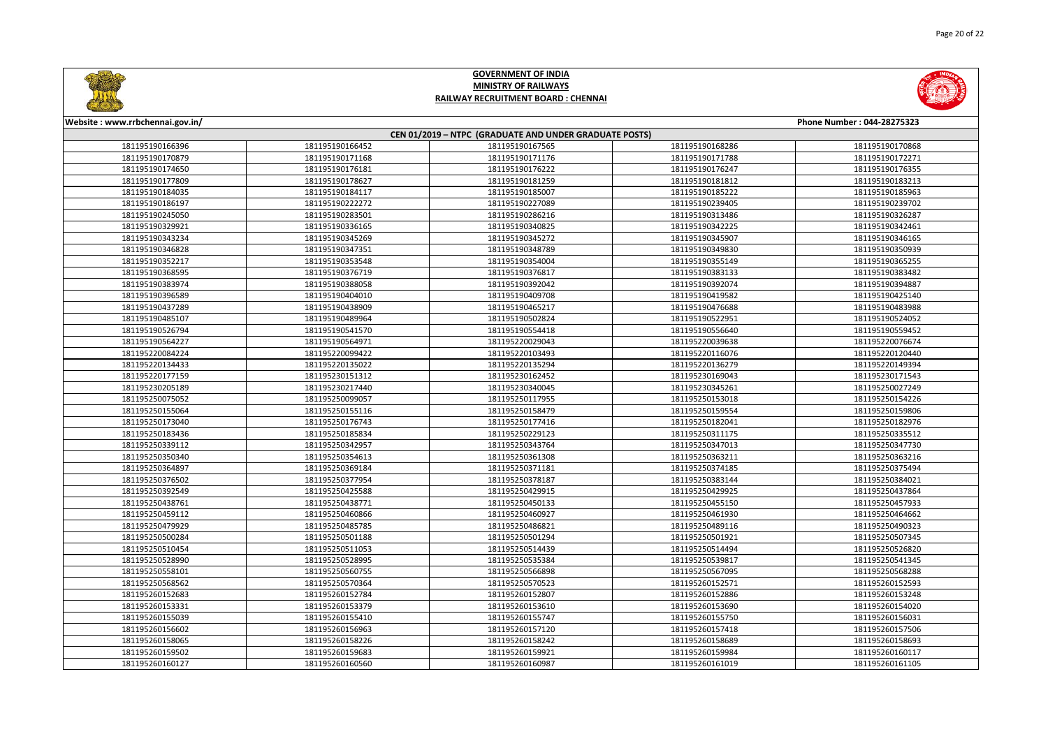



| Phone Number: 044-28275323<br> Website : www.rrbchennai.gov.in/ |                 |                 |                 |                 |  |
|-----------------------------------------------------------------|-----------------|-----------------|-----------------|-----------------|--|
| CEN 01/2019 - NTPC (GRADUATE AND UNDER GRADUATE POSTS)          |                 |                 |                 |                 |  |
| 181195190166396                                                 | 181195190166452 | 181195190167565 | 181195190168286 | 181195190170868 |  |
| 181195190170879                                                 | 181195190171168 | 181195190171176 | 181195190171788 | 181195190172271 |  |
| 181195190174650                                                 | 181195190176181 | 181195190176222 | 181195190176247 | 181195190176355 |  |
| 181195190177809                                                 | 181195190178627 | 181195190181259 | 181195190181812 | 181195190183213 |  |
| 181195190184035                                                 | 181195190184117 | 181195190185007 | 181195190185222 | 181195190185963 |  |
| 181195190186197                                                 | 181195190222272 | 181195190227089 | 181195190239405 | 181195190239702 |  |
| 181195190245050                                                 | 181195190283501 | 181195190286216 | 181195190313486 | 181195190326287 |  |
| 181195190329921                                                 | 181195190336165 | 181195190340825 | 181195190342225 | 181195190342461 |  |
| 181195190343234                                                 | 181195190345269 | 181195190345272 | 181195190345907 | 181195190346165 |  |
| 181195190346828                                                 | 181195190347351 | 181195190348789 | 181195190349830 | 181195190350939 |  |
| 181195190352217                                                 | 181195190353548 | 181195190354004 | 181195190355149 | 181195190365255 |  |
| 181195190368595                                                 | 181195190376719 | 181195190376817 | 181195190383133 | 181195190383482 |  |
| 181195190383974                                                 | 181195190388058 | 181195190392042 | 181195190392074 | 181195190394887 |  |
| 181195190396589                                                 | 181195190404010 | 181195190409708 | 181195190419582 | 181195190425140 |  |
| 181195190437289                                                 | 181195190438909 | 181195190465217 | 181195190476688 | 181195190483988 |  |
| 181195190485107                                                 | 181195190489964 | 181195190502824 | 181195190522951 | 181195190524052 |  |
| 181195190526794                                                 | 181195190541570 | 181195190554418 | 181195190556640 | 181195190559452 |  |
| 181195190564227                                                 | 181195190564971 | 181195220029043 | 181195220039638 | 181195220076674 |  |
| 181195220084224                                                 | 181195220099422 | 181195220103493 | 181195220116076 | 181195220120440 |  |
| 181195220134433                                                 | 181195220135022 | 181195220135294 | 181195220136279 | 181195220149394 |  |
| 181195220177159                                                 | 181195230151312 | 181195230162452 | 181195230169043 | 181195230171543 |  |
| 181195230205189                                                 | 181195230217440 | 181195230340045 | 181195230345261 | 181195250027249 |  |
| 181195250075052                                                 | 181195250099057 | 181195250117955 | 181195250153018 | 181195250154226 |  |
| 181195250155064                                                 | 181195250155116 | 181195250158479 | 181195250159554 | 181195250159806 |  |
| 181195250173040                                                 | 181195250176743 | 181195250177416 | 181195250182041 | 181195250182976 |  |
| 181195250183436                                                 | 181195250185834 | 181195250229123 | 181195250311175 | 181195250335512 |  |
| 181195250339112                                                 | 181195250342957 | 181195250343764 | 181195250347013 | 181195250347730 |  |
| 181195250350340                                                 | 181195250354613 | 181195250361308 | 181195250363211 | 181195250363216 |  |
| 181195250364897                                                 | 181195250369184 | 181195250371181 | 181195250374185 | 181195250375494 |  |
| 181195250376502                                                 | 181195250377954 | 181195250378187 | 181195250383144 | 181195250384021 |  |
| 181195250392549                                                 | 181195250425588 | 181195250429915 | 181195250429925 | 181195250437864 |  |
| 181195250438761                                                 | 181195250438771 | 181195250450133 | 181195250455150 | 181195250457933 |  |
| 181195250459112                                                 | 181195250460866 | 181195250460927 | 181195250461930 | 181195250464662 |  |
| 181195250479929                                                 | 181195250485785 | 181195250486821 | 181195250489116 | 181195250490323 |  |
| 181195250500284                                                 | 181195250501188 | 181195250501294 | 181195250501921 | 181195250507345 |  |
| 181195250510454                                                 | 181195250511053 | 181195250514439 | 181195250514494 | 181195250526820 |  |
| 181195250528990                                                 | 181195250528995 | 181195250535384 | 181195250539817 | 181195250541345 |  |
| 181195250558101                                                 | 181195250560755 | 181195250566898 | 181195250567095 | 181195250568288 |  |
| 181195250568562                                                 | 181195250570364 | 181195250570523 | 181195260152571 | 181195260152593 |  |
| 181195260152683                                                 | 181195260152784 | 181195260152807 | 181195260152886 | 181195260153248 |  |
| 181195260153331                                                 | 181195260153379 | 181195260153610 | 181195260153690 | 181195260154020 |  |
| 181195260155039                                                 | 181195260155410 | 181195260155747 | 181195260155750 | 181195260156031 |  |
| 181195260156602                                                 | 181195260156963 | 181195260157120 | 181195260157418 | 181195260157506 |  |
| 181195260158065                                                 | 181195260158226 | 181195260158242 | 181195260158689 | 181195260158693 |  |
| 181195260159502                                                 | 181195260159683 | 181195260159921 | 181195260159984 | 181195260160117 |  |
| 181195260160127                                                 | 181195260160560 | 181195260160987 | 181195260161019 | 181195260161105 |  |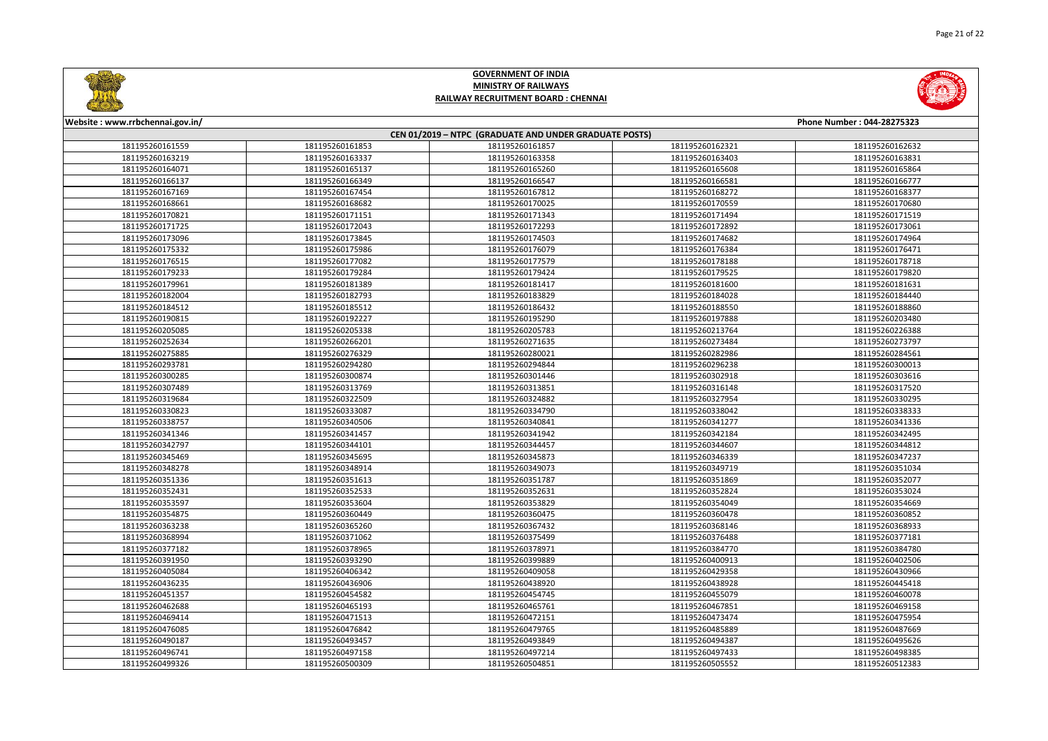



| Website: www.rrbchennai.gov.in/                        |                 |                 |                 | Phone Number: 044-28275323 |
|--------------------------------------------------------|-----------------|-----------------|-----------------|----------------------------|
| CEN 01/2019 - NTPC (GRADUATE AND UNDER GRADUATE POSTS) |                 |                 |                 |                            |
| 181195260161559                                        | 181195260161853 | 181195260161857 | 181195260162321 | 181195260162632            |
| 181195260163219                                        | 181195260163337 | 181195260163358 | 181195260163403 | 181195260163831            |
| 181195260164071                                        | 181195260165137 | 181195260165260 | 181195260165608 | 181195260165864            |
| 181195260166137                                        | 181195260166349 | 181195260166547 | 181195260166581 | 181195260166777            |
| 181195260167169                                        | 181195260167454 | 181195260167812 | 181195260168272 | 181195260168377            |
| 181195260168661                                        | 181195260168682 | 181195260170025 | 181195260170559 | 181195260170680            |
| 181195260170821                                        | 181195260171151 | 181195260171343 | 181195260171494 | 181195260171519            |
| 181195260171725                                        | 181195260172043 | 181195260172293 | 181195260172892 | 181195260173061            |
| 181195260173096                                        | 181195260173845 | 181195260174503 | 181195260174682 | 181195260174964            |
| 181195260175332                                        | 181195260175986 | 181195260176079 | 181195260176384 | 181195260176471            |
| 181195260176515                                        | 181195260177082 | 181195260177579 | 181195260178188 | 181195260178718            |
| 181195260179233                                        | 181195260179284 | 181195260179424 | 181195260179525 | 181195260179820            |
| 181195260179961                                        | 181195260181389 | 181195260181417 | 181195260181600 | 181195260181631            |
| 181195260182004                                        | 181195260182793 | 181195260183829 | 181195260184028 | 181195260184440            |
| 181195260184512                                        | 181195260185512 | 181195260186432 | 181195260188550 | 181195260188860            |
| 181195260190815                                        | 181195260192227 | 181195260195290 | 181195260197888 | 181195260203480            |
| 181195260205085                                        | 181195260205338 | 181195260205783 | 181195260213764 | 181195260226388            |
| 181195260252634                                        | 181195260266201 | 181195260271635 | 181195260273484 | 181195260273797            |
| 181195260275885                                        | 181195260276329 | 181195260280021 | 181195260282986 | 181195260284561            |
| 181195260293781                                        | 181195260294280 | 181195260294844 | 181195260296238 | 181195260300013            |
| 181195260300285                                        | 181195260300874 | 181195260301446 | 181195260302918 | 181195260303616            |
| 181195260307489                                        | 181195260313769 | 181195260313851 | 181195260316148 | 181195260317520            |
| 181195260319684                                        | 181195260322509 | 181195260324882 | 181195260327954 | 181195260330295            |
| 181195260330823                                        | 181195260333087 | 181195260334790 | 181195260338042 | 181195260338333            |
| 181195260338757                                        | 181195260340506 | 181195260340841 | 181195260341277 | 181195260341336            |
| 181195260341346                                        | 181195260341457 | 181195260341942 | 181195260342184 | 181195260342495            |
| 181195260342797                                        | 181195260344101 | 181195260344457 | 181195260344607 | 181195260344812            |
| 181195260345469                                        | 181195260345695 | 181195260345873 | 181195260346339 | 181195260347237            |
| 181195260348278                                        | 181195260348914 | 181195260349073 | 181195260349719 | 181195260351034            |
| 181195260351336                                        | 181195260351613 | 181195260351787 | 181195260351869 | 181195260352077            |
| 181195260352431                                        | 181195260352533 | 181195260352631 | 181195260352824 | 181195260353024            |
| 181195260353597                                        | 181195260353604 | 181195260353829 | 181195260354049 | 181195260354669            |
| 181195260354875                                        | 181195260360449 | 181195260360475 | 181195260360478 | 181195260360852            |
| 181195260363238                                        | 181195260365260 | 181195260367432 | 181195260368146 | 181195260368933            |
| 181195260368994                                        | 181195260371062 | 181195260375499 | 181195260376488 | 181195260377181            |
| 181195260377182                                        | 181195260378965 | 181195260378971 | 181195260384770 | 181195260384780            |
| 181195260391950                                        | 181195260393290 | 181195260399889 | 181195260400913 | 181195260402506            |
| 181195260405084                                        | 181195260406342 | 181195260409058 | 181195260429358 | 181195260430966            |
| 181195260436235                                        | 181195260436906 | 181195260438920 | 181195260438928 | 181195260445418            |
| 181195260451357                                        | 181195260454582 | 181195260454745 | 181195260455079 | 181195260460078            |
| 181195260462688                                        | 181195260465193 | 181195260465761 | 181195260467851 | 181195260469158            |
| 181195260469414                                        | 181195260471513 | 181195260472151 | 181195260473474 | 181195260475954            |
| 181195260476085                                        | 181195260476842 | 181195260479765 | 181195260485889 | 181195260487669            |
| 181195260490187                                        | 181195260493457 | 181195260493849 | 181195260494387 | 181195260495626            |
| 181195260496741                                        | 181195260497158 | 181195260497214 | 181195260497433 | 181195260498385            |
| 181195260499326                                        | 181195260500309 | 181195260504851 | 181195260505552 | 181195260512383            |